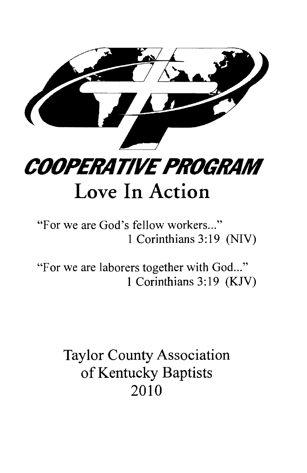

**COOPERATIVE PROGRAM** 

# Love In Action

## "For we are God's fellow workers..." 1 Corinthians 3:19 (NIV)

"For we are laborers together with God..." 1 Corinthians 3:19 (KJV)

> **Taylor County Association** of Kentucky Baptists 2010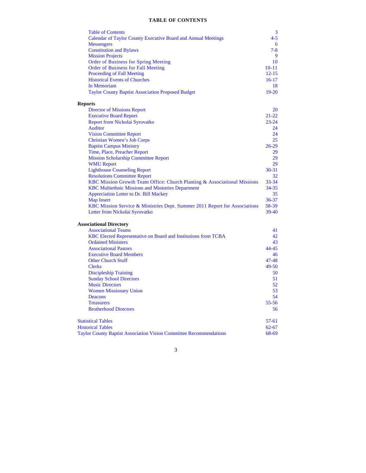#### **TABLE OF CONTENTS**

| <b>Table of Contents</b>                                                   | 3         |
|----------------------------------------------------------------------------|-----------|
| Calendar of Taylor County Executive Board and Annual Meetings              | $4 - 5$   |
| <b>Messengers</b>                                                          | 6         |
| <b>Constitution and Bylaws</b>                                             | $7 - 8$   |
| <b>Mission Projects</b>                                                    | 9         |
| <b>Order of Business for Spring Meeting</b>                                | 10        |
| <b>Order of Business for Fall Meeting</b>                                  | $10 - 11$ |
| <b>Proceeding of Fall Meeting</b>                                          | $12 - 15$ |
| <b>Historical Events of Churches</b>                                       | $16-17$   |
| In Memoriam                                                                | 18        |
| <b>Taylor County Baptist Association Proposed Budget</b>                   | $19-20$   |
| <b>Reports</b>                                                             |           |
| <b>Director of Missions Report</b>                                         | 20        |
| <b>Executive Board Report</b>                                              | $21 - 22$ |
| <b>Report from Nickolai Syrovatko</b>                                      | $23 - 24$ |
| <b>Auditor</b>                                                             | 24        |
| <b>Vision Committee Report</b>                                             | 24        |
| <b>Christian Women's Job Corps</b>                                         | 25        |
| <b>Baptist Campus Ministry</b>                                             | $26-29$   |
| Time, Place, Preacher Report                                               | 29        |
| <b>Mission Scholarship Committee Report</b>                                | 29        |
| <b>WMU Report</b>                                                          | 29        |
| <b>Lighthouse Counseling Report</b>                                        | $30 - 31$ |
| <b>Resolutions Committee Report</b>                                        | 32        |
| KBC Mission Growth Team Office: Church Planting & Associational Missions   | $33 - 34$ |
| <b>KBC Multiethnic Missions and Ministries Department</b>                  | $34 - 35$ |
| Appreciation Letter to Dr. Bill Mackey                                     | 35        |
| <b>Map Insert</b>                                                          | $36 - 37$ |
| KBC Mission Service & Ministries Dept. Summer 2011 Report for Associations | 38-39     |
| Letter from Nickolai Syrovatko                                             | 39-40     |
| <b>Associational Directory</b>                                             |           |
| <b>Associational Teams</b>                                                 | 41        |
| KBC Elected Representative on Board and Institutions from TCBA             | 42        |
| <b>Ordained Ministers</b>                                                  | 43        |
| <b>Associational Pastors</b>                                               | $44 - 45$ |
| <b>Executive Board Members</b>                                             | 46        |
| <b>Other Church Stuff</b>                                                  | $47 - 48$ |
| <b>Clerks</b>                                                              | 49-50     |
| <b>Discipleship Training</b>                                               | 50        |
| <b>Sunday School Directors</b>                                             | 51        |
| <b>Music Directors</b>                                                     | 52        |
| <b>Women Missionary Union</b>                                              | 53        |
| Deacons                                                                    | 54        |
| <b>Treasurers</b>                                                          | $55 - 56$ |
| <b>Brotherhood Directors</b>                                               | 56        |
| <b>Statistical Tables</b>                                                  | $57-61$   |
| <b>Historical Tables</b>                                                   | $62 - 67$ |
|                                                                            | 68-69     |
| <b>Taylor County Baptist Association Vision Committee Recommendations</b>  |           |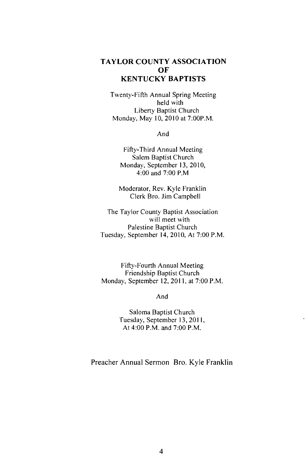#### **TAYLOR COUNTY ASSOCIATION** OF **KENTUCKY BAPTISTS**

Twenty-Fifth Annual Spring Meeting held with Liberty Baptist Church Monday, May 10, 2010 at 7:00P.M.

And

Fifty-Third Annual Meeting Salem Baptist Church Monday, September 13, 2010, 4:00 and 7:00 P.M

Moderator, Rev. Kyle Franklin Clerk Bro. Jim Campbell

The Taylor County Baptist Association will meet with Palestine Baptist Church Tuesday, September 14, 2010, At 7:00 P.M.

Fifty-Fourth Annual Meeting Friendship Baptist Church Monday, September 12, 2011, at 7:00 P.M.

And

Saloma Baptist Church Tuesday, September 13, 2011, At 4:00 P.M. and 7:00 P.M.

Preacher Annual Sermon Bro. Kyle Franklin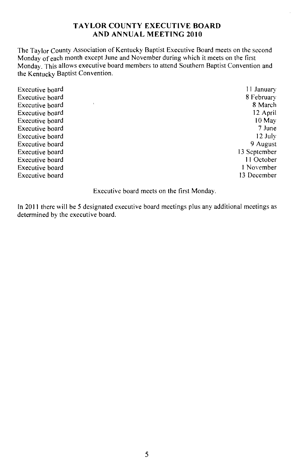#### **TAYLOR COUNTY EXECUTIVE BOARD AND ANNUAL MEETING 2010**

The Taylor County Association of Kentucky Baptist Executive Board meets on the second Monday of each month except June and November during which it meets on the first Monday. This allows executive board members to attend Southern Baptist Convention and the Kentucky Baptist Convention.

| Executive board | 11 January   |
|-----------------|--------------|
| Executive board | 8 February   |
| Executive board | 8 March      |
| Executive board | 12 April     |
| Executive board | $10$ May     |
| Executive board | 7 June       |
| Executive board | 12 July      |
| Executive board | 9 August     |
| Executive board | 13 September |
| Executive board | 11 October   |
| Executive board | 1 November   |
| Executive board | 13 December  |
|                 |              |

Executive board meets on the first Monday.

In 2011 there will be 5 designated executive board meetings plus any additional meetings as determined by the executive board.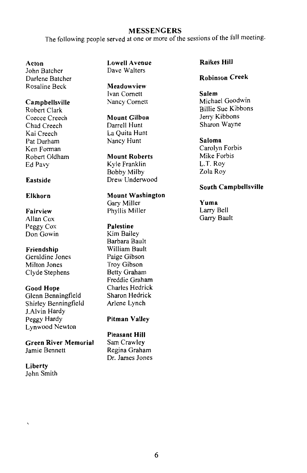#### **MESSENGERS**

The following people served at one or more of the sessions of the fall meeting.

#### Acton

John Batcher Darlene Batcher Rosaline Beck

#### Campbellsville

Robert Clark Ceecee Creech Chad Creech Kai Creech Pat Durham Ken Forman Robert Oldham Ed Pavy

#### Eastside

#### Elkhorn

Fairview Allan Cox Peggy Cox Don Gowin

Friendship Geraldine Jones Milton Jones Clyde Stephens

**Good Hope** Glenn Benningfield Shirley Benningfield J.Alvin Hardy Peggy Hardy Lynwood Newton

**Green River Memorial** Jamie Bennett

Liberty John Smith **Lowell Avenue** Dave Walters

Meadowview Ivan Cornett Nancy Cornett

Mount Gilboa Darrell Hunt La Quita Hunt Nancy Hunt

**Mount Roberts** Kyle Franklin **Bobby Milby** Drew Underwood

**Mount Washington** Gary Miller Phyllis Miller

Palestine Kim Bailey Barbara Bault William Bault Paige Gibson **Troy Gibson** Betty Graham Freddie Graham Charles Hedrick Sharon Hedrick Arlene Lynch

**Pitman Valley** 

**Pleasant Hill** Sam Crawley Regina Graham Dr. James Jones **Raikes Hill** 

#### **Robinson Creek**

Salem Michael Goodwin **Billie Sue Kibbons** Jerry Kibbons Sharon Wayne

Saloma Carolyn Forbis Mike Forbis L.T. Roy Zola Roy

#### South Campbellsville

Yuma Larry Bell Garry Bault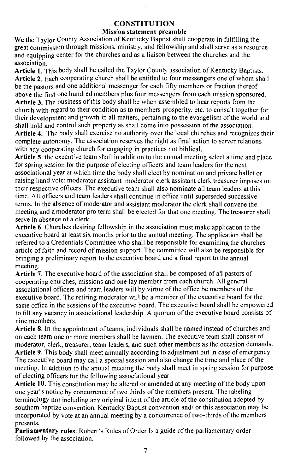#### **CONSTITUTION**

#### **Mission statement preamble**

We the Taylor County Association of Kentucky Baptist shall cooperate in fulfilling the great commission through missions, ministry, and fellowship and shall serve as a resource and equipping center for the churches and as a liaison between the churches and the association.

Article 1. This body shall be called the Taylor County association of Kentucky Baptists. Article 2. Each cooperating church shall be entitled to four messengers one of whom shall be the pastors and one additional messenger for each fifty members or fraction thereof above the first one hundred members plus four messengers from each mission sponsored. Article 3. The business of this body shall be when assembled to hear reports from the church with regard to their condition as to members prosperity, etc. to consult together for their development and growth in all matters, pertaining to the evangelism of the world and shall hold and control such property as shall come into possession of the association.

Article 4. The body shall exercise no authority over the local churches and recognizes their complete autonomy. The association reserves the right as final action to server relations with any cooperating church for engaging in practices not biblical.

Article 5, the executive team shall in addition to the annual meeting select a time and place for spring session for the purpose of electing officers and team leaders for the next associational year at which time the body shall elect by nomination and private ballot or raising hand vote: moderator assistant moderator clerk assistant clerk treasurer imposes on their respective officers. The executive team shall also nominate all team leaders at this time. All officers and team leaders shall continue in office until superseded successive terms. In the absence of moderator and assistant moderator the clerk shall convene the meeting and a moderator pro term shall be elected for that one meeting. The treasurer shall serve in absence of a clerk.

Article 6. Churches desiring fellowship in the association must make application to the executive board at least six months prior to the annual meeting. The application shall be referred to a Credentials Committee who shall be responsible for examining the churches article of faith and record of mission support. The committee will also be responsible for bringing a preliminary report to the executive board and a final report to the annual meeting.

Article 7. The executive board of the association shall be composed of all pastors of cooperating churches, missions and one lay member from each church. All general associational officers and team leaders will by virtue of the office be members of the executive board. The retiring moderator will be a member of the executive board for the same office in the sessions of the executive board. The executive board shall be empowered to fill any vacancy in associational leadership. A quorum of the executive board consists of nine members.

Article 8. In the appointment of teams, individuals shall be named instead of churches and on each team one or more members shall be laymen. The executive team shall consist of moderator, clerk, treasurer, team leaders, and such other members as the occasion demands. Article 9. This body shall meet annually according to adjustment but in case of emergency. The executive board may call a special session and also change the time and place of the meeting. In addition to the annual meeting the body shall meet in spring session for purpose of electing officers for the following associational year.

Article 10. This constitution may be altered or amended at any meeting of the body upon one year's notice by concurrence of two thirds of the members present. The labeling terminology not including any original intent of the article of the constitution adopted by southern baptize convention, Kentucky Baptist convention and/ or this association may be incorporated by vote at an annual meeting by a concurrence of two-thirds of the members presents.

Parliamentary rules: Robert's Rules of Order Is a guide of the parliamentary order followed by the association.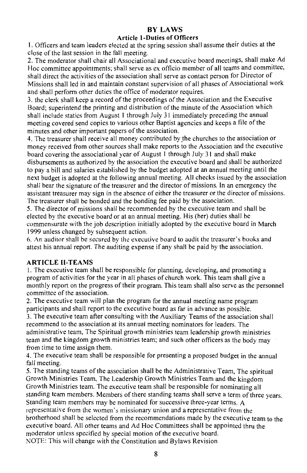#### **BY LAWS**

#### **Article 1-Duties of Officers**

1. Officers and team leaders elected at the spring session shall assume their duties at the close of the last session in the fall meeting.

2. The moderator shall chair all Associational and executive board meetings, shall make Ad Hoc committee appointments; shall serve as ex officio member of all teams and committee, shall direct the activities of the association shall serve as contact person for Director of Missions shall led in and maintain constant supervision of all phases of Associational work and shall perform other duties the office of moderator requires.

3. the clerk shall keep a record of the proceedings of the Association and the Executive Board: superintend the printing and distribution of the minute of the Association which shall include statics from August 1 through July 31 immediately preceding the annual meeting covered send copies to various other Baptist agencies and keeps a file of the minutes and other important papers of the association.

4. The treasurer shall receive all money contributed by the churches to the association or money received from other sources shall make reports to the Association and the executive board covering the associational year of August 1 through July 31 and shall make disbursements as authorized by the association the executive board and shall be authorized to pay a bill and salaries established by the budget adopted at an annual meeting until the next budget is adopted at the following annual meeting. All checks issued by the association shall bear the signature of the treasurer and the director of missions. In an emergency the assistant treasurer may sign in the absence of either the treasurer or the director of missions. The treasurer shall be bonded and the bonding fee paid by the association.

5. The director of missions shall be recommended by the executive team and shall be elected by the executive board or at an annual meeting. His (her) duties shall be commensurate with the job description initially adopted by the executive board in March 1999 unless changed by subsequent action.

6. An auditor shall be secured by the executive board to audit the treasurer's books and attest his annual report. The auditing expense if any shall be paid by the association.

#### **ARTICLE II-TEAMS**

1. The executive team shall be responsible for planning, developing, and promoting a program of activities for the year in all phases of church work. This team shall give a monthly report on the progress of their program. This team shall also serve as the personnel committee of the association.

2. The executive team will plan the program for the annual meeting name program participants and shall report to the executive board as far in advance as possible.

3. The executive team after consulting with the Auxiliary Teams of the association shall recommend to the association at its annual meeting nominators for leaders. The administrative team, The Spiritual growth ministries team leadership growth ministries team and the kingdom growth ministries team; and such other officers as the body may from time to time assign them.

4. The executive team shall be responsible for presenting a proposed budget in the annual fall meeting.

5. The standing teams of the association shall be the Administrative Team, The spiritual Growth Ministries Team, The Leadership Growth Ministries Team and the kingdom Growth Ministries team. The executive team shall be responsible for nominating all standing team members. Members of there standing teams shall serve a term of three years. Standing team members may be nominated for successive three-year terms. A representative from the women's missionary union and a representative from the hrotherhood shall be selected from the recommendations made by the executive team to the executive board. All other teams and Ad Hoc Committees shall be appointed thru the moderator unless specified by special motion of the executive board. NOTE: This will change with the Constitution and Bylaws Revision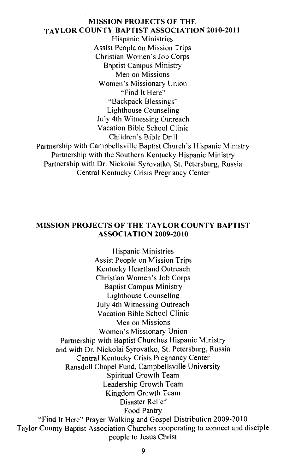#### **MISSION PROJECTS OF THE TAYLOR COUNTY BAPTIST ASSOCIATION 2010-2011**

**Hispanic Ministries** Assist People on Mission Trips Christian Women's Job Corps **Baptist Campus Ministry** Men on Missions Women's Missionary Union "Find It Here" "Backpack Blessings" Lighthouse Counseling July 4th Witnessing Outreach Vacation Bible School Clinic Children's Bible Drill Partnership with Campbellsville Baptist Church's Hispanic Ministry Partnership with the Southern Kentucky Hispanic Ministry Partnership with Dr. Nickolai Syrovatko, St. Petersburg, Russia Central Kentucky Crisis Pregnancy Center

#### **MISSION PROJECTS OF THE TAYLOR COUNTY BAPTIST ASSOCIATION 2009-2010**

**Hispanic Ministries Assist People on Mission Trips** Kentucky Heartland Outreach Christian Women's Job Corps **Baptist Campus Ministry** Lighthouse Counseling July 4th Witnessing Outreach Vacation Bible School Clinic Men on Missions Women's Missionary Union Partnership with Baptist Churches Hispanic Ministry and with Dr. Nickolai Syrovatko, St. Petersburg, Russia Central Kentucky Crisis Pregnancy Center Ransdell Chapel Fund, Campbellsville University Spiritual Growth Team Leadership Growth Team Kingdom Growth Team Disaster Relief Food Pantry "Find It Here" Prayer Walking and Gospel Distribution 2009-2010 Taylor County Baptist Association Churches cooperating to connect and disciple people to Jesus Christ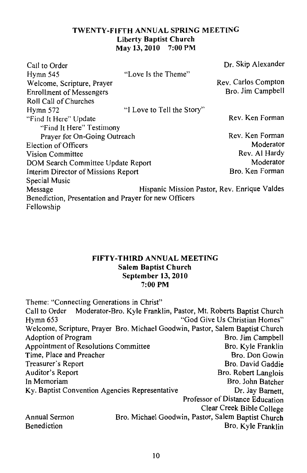## TWENTY-FIFTH ANNUAL SPRING MEETING **Liberty Baptist Church** May 13, 2010 7:00 PM

| Call to Order                                         |                            | Dr. Skip Alexander                           |
|-------------------------------------------------------|----------------------------|----------------------------------------------|
| Hymn 545                                              | "Love Is the Theme"        |                                              |
| Welcome, Scripture, Prayer                            |                            | Rev. Carlos Compton                          |
| <b>Enrollment of Messengers</b>                       |                            | Bro. Jim Campbell                            |
| Roll Call of Churches                                 |                            |                                              |
| Hymn 572                                              | "I Love to Tell the Story" |                                              |
| "Find It Here" Update                                 |                            | Rev. Ken Forman                              |
| "Find It Here" Testimony                              |                            |                                              |
| Prayer for On-Going Outreach                          |                            | Rev. Ken Forman                              |
| Election of Officers                                  |                            | Moderator                                    |
| Vision Committee                                      |                            | Rev. Al Hardy                                |
| DOM Search Committee Update Report                    |                            | Moderator                                    |
| Interim Director of Missions Report                   |                            | Bro. Ken Forman                              |
| Special Music                                         |                            |                                              |
| Message                                               |                            | Hispanic Mission Pastor, Rev. Enrique Valdes |
| Benediction, Presentation and Prayer for new Officers |                            |                                              |
| Fellowship                                            |                            |                                              |

#### FIFTY-THIRD ANNUAL MEETING **Salem Baptist Church** September 13, 2010  $7:00$  PM

| Theme: "Connecting Generations in Christ"      |                                                                                |                                 |
|------------------------------------------------|--------------------------------------------------------------------------------|---------------------------------|
|                                                | Call to Order Moderator-Bro. Kyle Franklin, Pastor, Mt. Roberts Baptist Church |                                 |
| Hvmn 653                                       |                                                                                | "God Give Us Christian Homes"   |
|                                                | Welcome, Scripture, Prayer Bro. Michael Goodwin, Pastor, Salem Baptist Church  |                                 |
| <b>Adoption of Program</b>                     |                                                                                | Bro. Jim Campbell               |
| Appointment of Resolutions Committee           |                                                                                | Bro. Kyle Franklin              |
| Time, Place and Preacher                       |                                                                                | Bro. Don Gowin                  |
| Treasurer's Report                             |                                                                                | Bro. David Gaddie               |
| Auditor's Report                               |                                                                                | Bro. Robert Langlois            |
| In Memoriam                                    |                                                                                | Bro. John Batcher               |
| Ky. Baptist Convention Agencies Representative |                                                                                | Dr. Jay Barnett,                |
|                                                |                                                                                | Professor of Distance Education |
|                                                |                                                                                | Clear Creek Bible College       |
| Annual Sermon                                  | Bro. Michael Goodwin, Pastor, Salem Baptist Church                             |                                 |
| Benediction                                    |                                                                                | Bro. Kyle Franklin              |
|                                                |                                                                                |                                 |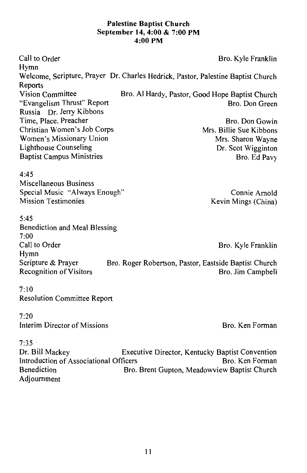#### **Palestine Baptist Church** September 14, 4:00 & 7:00 PM 4:00 PM

Call to Order Bro. Kyle Franklin Hymn Welcome, Scripture, Prayer, Dr. Charles Hedrick, Pastor, Palestine Baptist Church Reports Vision Committee Bro. Al Hardy, Pastor, Good Hope Baptist Church "Evangelism Thrust" Report Bro. Don Green Russia Dr. Jerry Kibbons Time, Place, Preacher Bro. Don Gowin Christian Women's Job Corps Mrs. Billie Sue Kibbons Women's Missionary Union Mrs. Sharon Wayne Lighthouse Counseling Dr. Scot Wigginton **Baptist Campus Ministries** Bro. Ed Pavy  $4.45$ Miscellaneous Business Special Music "Always Enough" Connie Arnold **Mission Testimonies** Kevin Mings (China)  $5:45$ Benediction and Meal Blessing  $7:00$ Call to Order Bro. Kyle Franklin Hymn Scripture & Praver Bro. Roger Robertson, Pastor, Eastside Baptist Church **Recognition of Visitors** Bro. Jim Campbell  $7.10$ **Resolution Committee Report**  $7:20$ Interim Director of Missions Bro. Ken Forman  $7:35$ Dr. Bill Mackey Executive Director, Kentucky Baptist Convention

Bro. Ken Forman Introduction of Associational Officers **Benediction** Bro. Brent Gupton, Meadowview Baptist Church Adjournment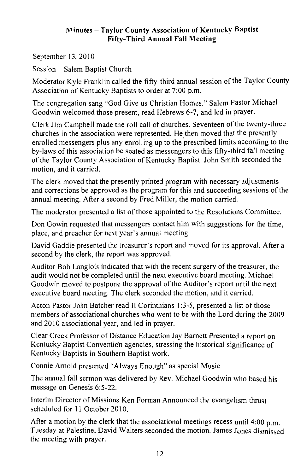#### Minutes - Taylor County Association of Kentucky Baptist **Fifty-Third Annual Fall Meeting**

September 13, 2010

Session - Salem Baptist Church

Moderator Kyle Franklin called the fifty-third annual session of the Taylor County Association of Kentucky Baptists to order at 7:00 p.m.

The congregation sang "God Give us Christian Homes." Salem Pastor Michael Goodwin welcomed those present, read Hebrews 6-7, and led in prayer.

Clerk Jim Campbell made the roll call of churches. Seventeen of the twenty-three churches in the association were represented. He then moved that the presently enrolled messengers plus any enrolling up to the prescribed limits according to the by-laws of this association be seated as messengers to this fifty-third fall meeting of the Taylor County Association of Kentucky Baptist. John Smith seconded the motion, and it carried.

The clerk moved that the presently printed program with necessary adjustments and corrections be approved as the program for this and succeeding sessions of the annual meeting. After a second by Fred Miller, the motion carried.

The moderator presented a list of those appointed to the Resolutions Committee.

Don Gowin requested that messengers contact him with suggestions for the time, place, and preacher for next year's annual meeting.

David Gaddie presented the treasurer's report and moved for its approval. After a second by the clerk, the report was approved.

Auditor Bob Langlois indicated that with the recent surgery of the treasurer, the audit would not be completed until the next executive board meeting. Michael Goodwin moved to postpone the approval of the Auditor's report until the next executive board meeting. The clerk seconded the motion, and it carried.

Acton Pastor John Batcher read II Corinthians 1:3-5, presented a list of those members of associational churches who went to be with the Lord during the 2009 and 2010 associational year, and led in prayer.

Clear Creek Professor of Distance Education Jay Barnett Presented a report on Kentucky Baptist Convention agencies, stressing the historical significance of Kentucky Baptists in Southern Baptist work.

Connie Arnold presented "Always Enough" as special Music.

The annual fall sermon was delivered by Rev. Michael Goodwin who based his message on Genesis 6:5-22.

Interim Director of Missions Ken Forman Announced the evangelism thrust scheduled for 11 October 2010.

After a motion by the clerk that the associational meetings recess until 4:00  $\mu$  m. Tuesday at Palestine, David Walters seconded the motion. James Jones dismissed the meeting with prayer.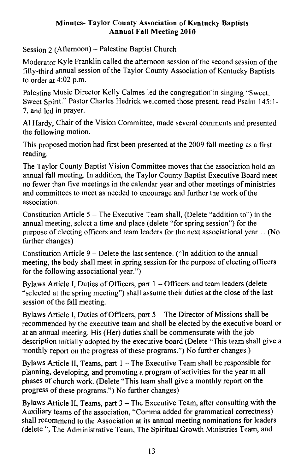#### Minutes- Taylor County Association of Kentucky Baptists **Annual Fall Meeting 2010**

Session  $2(A$ fternoon) – Palestine Baptist Church

Moderator Kyle Franklin called the afternoon session of the second session of the fifty-third annual session of the Taylor County Association of Kentucky Baptists to order at  $4:02$  p.m.

Palestine Music Director Kelly Calmes led the congregation in singing "Sweet. Sweet Spirit." Pastor Charles Hedrick welcomed those present, read Psalm 145:1-7, and led in praver.

Al Hardy, Chair of the Vision Committee, made several comments and presented the following motion.

This proposed motion had first been presented at the 2009 fall meeting as a first reading.

The Taylor County Baptist Vision Committee moves that the association hold an annual fall meeting. In addition, the Taylor County Baptist Executive Board meet no fewer than five meetings in the calendar year and other meetings of ministries and committees to meet as needed to encourage and further the work of the association

Constitution Article 5 – The Executive Team shall, (Delete "addition to") in the annual meeting, select a time and place (delete "for spring session") for the purpose of electing officers and team leaders for the next associational year... (No further changes)

Constitution Article 9 – Delete the last sentence. ("In addition to the annual meeting, the body shall meet in spring session for the purpose of electing officers for the following associational year.")

Bylaws Article I. Duties of Officers, part 1 – Officers and team leaders (delete "selected at the spring meeting") shall assume their duties at the close of the last session of the fall meeting.

Bylaws Article I, Duties of Officers, part 5 – The Director of Missions shall be recommended by the executive team and shall be elected by the executive board or at an annual meeting. His (Her) duties shall be commensurate with the job description initially adopted by the executive board (Delete "This team shall give a monthly report on the progress of these programs.") No further changes.)

Bylaws Article II. Teams. part  $1 -$ The Executive Team shall be responsible for planning, developing, and promoting a program of activities for the year in all phases of church work. (Delete "This team shall give a monthly report on the progress of these programs.") No further changes)

Bylaws Article II, Teams, part 3 – The Executive Team, after consulting with the Auxiliary teams of the association, "Comma added for grammatical correctness) shall recommend to the Association at its annual meeting nominations for leaders (delete ", The Administrative Team, The Spiritual Growth Ministries Team, and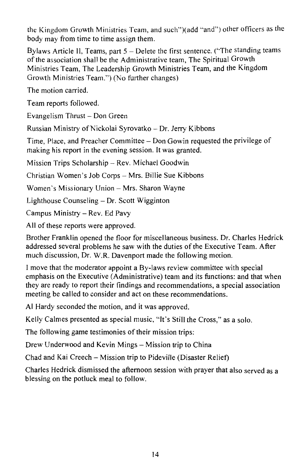the Kingdom Growth Ministries Team, and such")(add "and") other officers as the body may from time to time assign them.

Bylaws Article II, Teams, part 5 - Delete the first sentence. ("The standing teams of the association shall be the Administrative team. The Spiritual Growth Ministries Team, The Leadership Growth Ministries Team, and the Kingdom Growth Ministries Team.") (No further changes)

The motion carried.

Team reports followed.

Evangelism Thrust - Don Green

Russian Ministry of Nickolai Syrovatko - Dr. Jerry Kibbons

Time, Place, and Preacher Committee – Don Gowin requested the privilege of making his report in the evening session. It was granted.

Mission Trips Scholarship - Rev. Michael Goodwin

Christian Women's Job Corps - Mrs. Billie Sue Kibbons

Women's Missionary Union - Mrs. Sharon Wayne

Lighthouse Counseling – Dr. Scott Wigginton

Campus Ministry - Rev. Ed Pavy

All of these reports were approved.

Brother Franklin opened the floor for miscellaneous business. Dr. Charles Hedrick addressed several problems he saw with the duties of the Executive Team. After much discussion, Dr. W.R. Davenport made the following motion.

I move that the moderator appoint a By-laws review committee with special emphasis on the Executive (Administrative) team and its functions: and that when they are ready to report their findings and recommendations, a special association meeting be called to consider and act on these recommendations.

Al Hardy seconded the motion, and it was approved.

Kelly Calmes presented as special music, "It's Still the Cross," as a solo.

The following game testimonies of their mission trips:

Drew Underwood and Kevin Mings - Mission trip to China

Chad and Kai Creech – Mission trip to Pideville (Disaster Relief)

Charles Hedrick dismissed the afternoon session with prayer that also served as a blessing on the potluck meal to follow.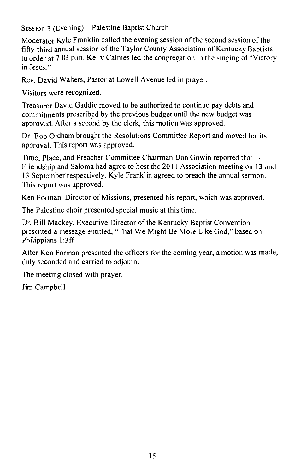Session 3 (Evening) – Palestine Baptist Church

Moderator Kyle Franklin called the evening session of the second session of the fifty-third annual session of the Taylor County Association of Kentucky Baptists to order at 7:03 p.m. Kelly Calmes led the congregation in the singing of "Victory" in Jesus "

Rev. David Walters, Pastor at Lowell Avenue led in praver.

Visitors were recognized.

Treasurer David Gaddie moved to be authorized to continue pay debts and commitments prescribed by the previous budget until the new budget was approved. After a second by the clerk, this motion was approved.

Dr. Bob Oldham brought the Resolutions Committee Report and moved for its approval. This report was approved.

Time, Place, and Preacher Committee Chairman Don Gowin reported that Friendship and Saloma had agree to host the 2011 Association meeting on 13 and 13 September respectively. Kyle Franklin agreed to preach the annual sermon. This report was approved.

Ken Forman, Director of Missions, presented his report, which was approved.

The Palestine choir presented special music at this time.

Dr. Bill Mackey, Executive Director of the Kentucky Baptist Convention. presented a message entitled, "That We Might Be More Like God," based on Philippians 1:3ff

After Ken Forman presented the officers for the coming year, a motion was made, duly seconded and carried to adiourn.

The meeting closed with prayer.

Jim Campbell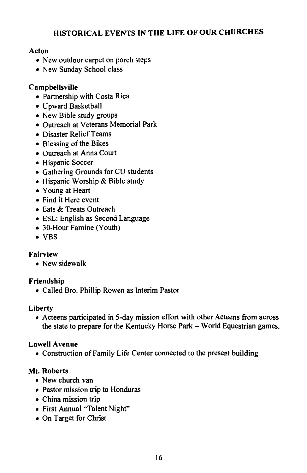## HISTORICAL EVENTS IN THE LIFE OF OUR CHURCHES

## Acton

- New outdoor carpet on porch steps
- New Sunday School class

## Campbellsville

- · Partnership with Costa Rica
- · Upward Basketball
- New Bible study groups
- Outreach at Veterans Memorial Park
- Disaster Relief Teams
- Blessing of the Bikes
- Outreach at Anna Court
- Hispanic Soccer
- Gathering Grounds for CU students
- · Hispanic Worship & Bible study
- Young at Heart
- Find it Here event
- Eats & Treats Outreach
- ESL: English as Second Language
- 30-Hour Famine (Youth)
- $\bullet$  VBS

## Fairview

• New sidewalk

## Friendship

• Called Bro. Phillip Rowen as Interim Pastor

### Liberty

• Acteens participated in 5-day mission effort with other Acteens from across the state to prepare for the Kentucky Horse Park – World Equestrian games.

### **Lowell Avenue**

• Construction of Family Life Center connected to the present building

## Mt. Roberts.

- New church van
- Pastor mission trip to Honduras
- China mission trip
- First Annual "Talent Night"
- On Target for Christ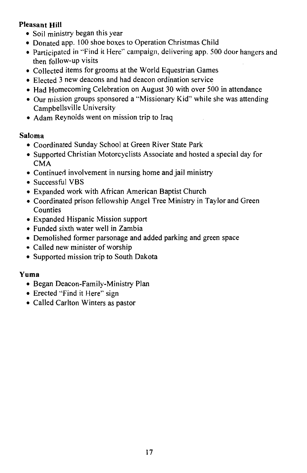## **Pleasant Hill**

- · Soil ministry began this year
- Donated app. 100 shoe boxes to Operation Christmas Child
- Participated in "Find it Here" campaign, delivering app. 500 door hangers and then follow-up visits
- Collected items for grooms at the World Equestrian Games
- Elected 3 new deacons and had deacon ordination service
- Had Homecoming Celebration on August 30 with over 500 in attendance
- Our mission groups sponsored a "Missionary Kid" while she was attending Campbellsville University
- Adam Reynolds went on mission trip to Iraq

## Saloma

- Coordinated Sunday School at Green River State Park
- Supported Christian Motorcyclists Associate and hosted a special day for **CMA**
- Continued involvement in nursing home and jail ministry
- Successful VBS
- Expanded work with African American Baptist Church
- Coordinated prison fellowship Angel Tree Ministry in Taylor and Green Counties
- Expanded Hispanic Mission support
- Funded sixth water well in Zambia
- Demolished former parsonage and added parking and green space
- Called new minister of worship
- Supported mission trip to South Dakota

## Yuma

- Began Deacon-Family-Ministry Plan
- Erected "Find it Here" sign
- Called Carlton Winters as pastor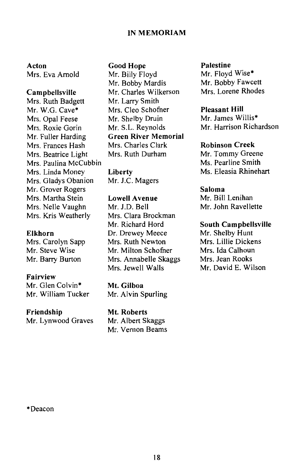#### **IN MEMORIAM**

Acton Mrs. Eva Arnold

#### Campbellsville

Mrs. Ruth Badgett Mr. W.G. Cave\* Mrs. Opal Feese Mrs. Roxie Gorin Mr. Fuller Harding Mrs. Frances Hash Mrs. Beatrice Light Mrs. Paulina McCubbin Mrs. Linda Monev Mrs. Gladys Obanion Mr. Grover Rogers Mrs. Martha Stein Mrs. Nelle Vaughn Mrs. Kris Weatherly

#### Elkhorn

Mrs. Carolyn Sapp Mr. Steve Wise Mr. Barry Burton

#### **Fairview**

Mr. Glen Colvin\* Mr. William Tucker

#### Friendship

Mr. Lynwood Graves

#### **Good Hope**

Mr. Billy Floyd Mr. Bobby Mardis Mr. Charles Wilkerson Mr. Larry Smith Mrs. Cleo Schofner Mr. Shelby Druin Mr. S.L. Revnolds **Green River Memorial** Mrs. Charles Clark Mrs. Ruth Durham

Liberty Mr. J.C. Magers

#### **Lowell Avenue**

Mr ID Rell Mrs. Clara Brockman Mr. Richard Hord Dr. Drewey Meece Mrs. Ruth Newton Mr. Milton Schofner Mrs. Annabelle Skaggs Mrs. Jewell Walls

Mt. Gilboa Mr. Alvin Spurling

Mt. Roberts Mr. Albert Skaggs Mr. Vernon Beams

#### **Palestine**

Mr. Floyd Wise\* Mr. Bobby Fawcett Mrs. Lorene Rhodes

#### **Pleasant Hill**

Mr. James Willis\* Mr. Harrison Richardson

#### **Robinson Creek**

Mr. Tommy Greene Ms. Pearline Smith Ms. Eleasia Rhinehart

#### Saloma

Mr. Bill Lenihan Mr. John Ravellette

#### **South Campbellsville**

Mr. Shelby Hunt Mrs. Lillie Dickens Mrs. Ida Calhoun Mrs. Jean Rooks Mr. David E. Wilson

\*Deacon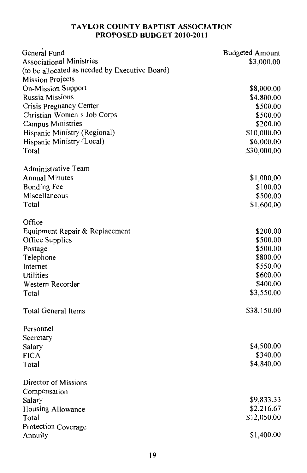### TAYLOR COUNTY BAPTIST ASSOCIATION PROPOSED BUDGET 2010-2011

| General Fund                                   | <b>Budgeted Amount</b> |
|------------------------------------------------|------------------------|
| <b>Associational Ministries</b>                | \$3,000.00             |
| (to be allocated as needed by Executive Board) |                        |
| <b>Mission Projects</b>                        |                        |
| <b>On-Mission Support</b>                      | \$8,000.00             |
| <b>Russia Missions</b>                         | \$4,800.00             |
| Crisis Pregnancy Center                        | \$500.00               |
| Christian Women s Job Corps                    | \$500.00               |
| <b>Campus Ministries</b>                       | \$200.00               |
| Hispanic Ministry (Regional)                   | \$10,000.00            |
| Hispanic Ministry (Local)                      | \$6.000.00             |
| Total                                          | \$30,000.00            |
| Administrative Team                            |                        |
| <b>Annual Minutes</b>                          | \$1,000.00             |
| <b>Bonding Fee</b>                             | \$100.00               |
| Miscellaneous                                  | \$500.00               |
| Total                                          | \$1,600.00             |
| Office                                         |                        |
| Equipment Repair & Replacement                 | \$200.00               |
| Office Supplies                                | \$500.00               |
| Postage                                        | \$500.00               |
| Telephone                                      | \$800.00               |
| Internet                                       | \$550.00<br>\$600.00   |
| Utilities<br>Western Recorder                  | \$400.00               |
|                                                | \$3,550.00             |
| Total                                          |                        |
| <b>Total General Items</b>                     | \$38,150.00            |
| Personnel                                      |                        |
| Secretary                                      |                        |
| Salary                                         | \$4,500.00             |
| <b>FICA</b>                                    | \$340.00               |
| Total                                          | \$4,840.00             |
| Director of Missions                           |                        |
| Compensation                                   |                        |
| Salary                                         | \$9,833.33             |
| Housing Allowance                              | \$2,216.67             |
| Total                                          | \$12,050.00            |
| Protection Coverage                            |                        |
| Annuity                                        | \$1,400.00             |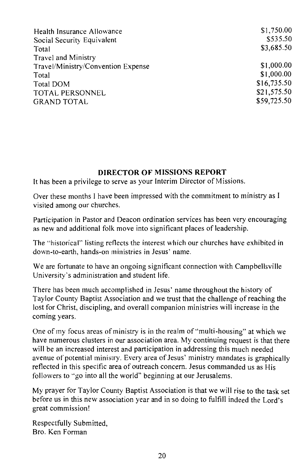| Health Insurance Allowance         | \$1,750.00  |
|------------------------------------|-------------|
| Social Security Equivalent         | \$535.50    |
| Total                              | \$3,685.50  |
| Travel and Ministry                |             |
| Travel/Ministry/Convention Expense | \$1,000.00  |
| Total                              | \$1,000.00  |
| Total DOM                          | \$16,735.50 |
| TOTAL PERSONNEL                    | \$21,575.50 |
| <b>GRAND TOTAL</b>                 | \$59,725.50 |

#### DIRECTOR OF MISSIONS REPORT

It has been a privilege to serve as your Interim Director of Missions.

Over these months I have been impressed with the commitment to ministry as I visited among our churches.

Participation in Pastor and Deacon ordination services has been very encouraging as new and additional folk move into significant places of leadership.

The "historical" listing reflects the interest which our churches have exhibited in down-to-earth, hands-on ministries in Jesus' name.

We are fortunate to have an ongoing significant connection with Campbells ville University's administration and student life.

There has been much accomplished in Jesus' name throughout the history of Taylor County Baptist Association and we trust that the challenge of reaching the lost for Christ, discipling, and overall companion ministries will increase in the coming years.

One of my focus areas of ministry is in the realm of "multi-housing" at which we have numerous clusters in our association area. My continuing request is that there will be an increased interest and participation in addressing this much needed avenue of potential ministry. Every area of Jesus' ministry mandates is graphically reflected in this specific area of outreach concern. Jesus commanded us as His followers to "go into all the world" beginning at our Jerusalems.

My prayer for Taylor County Baptist Association is that we will rise to the task set before us in this new association year and in so doing to fulfill indeed the Lord's great commission!

Respectfully Submitted. Bro. Ken Forman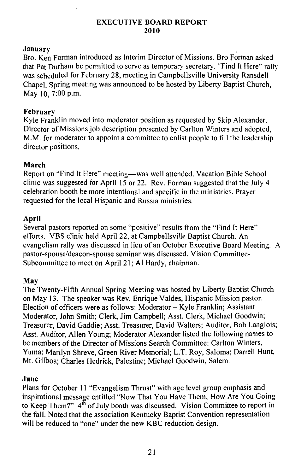#### **EXECUTIVE BOARD REPORT** 2010

#### Januarv

Bro. Ken Forman introduced as Interim Director of Missions. Bro Forman asked that Par Durham be permitted to serve as temporary secretary, "Find It Here" rally was scheduled for February 28, meeting in Campbellsville University Ransdell Chapel. Spring meeting was announced to be hosted by Liberty Baptist Church. May 10, 7:00 p.m.

#### February

Kyle Franklin moved into moderator position as requested by Skip Alexander. Director of Missions job description presented by Carlton Winters and adopted. M.M. for moderator to appoint a committee to enlist people to fill the leadership director positions.

### March

Report on "Find It Here" meeting—was well attended. Vacation Bible School clinic was suggested for April 15 or 22. Rev. Forman suggested that the July 4 celebration booth be more intentional and specific in the ministries. Praver requested for the local Hispanic and Russia ministries.

#### April

Several pastors reported on some "positive" results from the "Find It Here" efforts. VBS clinic held April 22, at Campbellsville Baptist Church. An evangelism rally was discussed in lieu of an October Executive Board Meeting. A pastor-spouse/deacon-spouse seminar was discussed. Vision Committee-Subcommittee to meet on April 21: Al Hardy, chairman.

#### May

The Twenty-Fifth Annual Spring Meeting was hosted by Liberty Baptist Church on May 13. The speaker was Rev. Enrique Valdes, Hispanic Mission pastor. Election of officers were as follows: Moderator - Kyle Franklin; Assistant Moderator, John Smith; Clerk, Jim Campbell; Asst. Clerk, Michael Goodwin; Treasurer, David Gaddie; Asst. Treasurer, David Walters; Auditor, Bob Langlois; Asst. Auditor, Allen Young; Moderator Alexander listed the following names to be members of the Director of Missions Search Committee: Carlton Winters, Yuma; Marilyn Shreve, Green River Memorial; L.T. Roy, Saloma; Darrell Hunt, Mt. Gilboa: Charles Hedrick, Palestine: Michael Goodwin, Salem.

#### **June**

Plans for October 11 "Evangelism Thrust" with age level group emphasis and inspirational message entitled "Now That You Have Them, How Are You Going to Keep Them?" 4<sup>th</sup> of July booth was discussed. Vision Committee to report in the fall. Noted that the association Kentucky Baptist Convention representation will be reduced to "one" under the new KBC reduction design.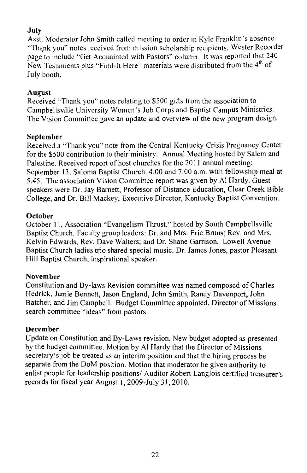## July

Asst. Moderator John Smith called meeting to order in Kyle Franklin's absence. "Thank you" notes received from mission scholarship recipients. Wester Recorder page to include "Get Acquainted with Pastors" column. It was reported that 240 New Testaments plus "Find-It Here" materials were distributed from the 4<sup>th</sup> of July booth.

### August

Received "Thank you" notes relating to \$500 gifts from the association to Campbellsville University Women's Job Corps and Baptist Campus Ministries. The Vision Committee gave an update and overview of the new program design.

#### September

Received a "Thank you" note from the Central Kentucky Crisis Pregnancy Center for the \$500 contribution to their ministry. Annual Meeting hosted by Salem and Palestine. Received report of host churches for the 2011 annual meeting: September 13, Saloma Baptist Church, 4:00 and 7:00 a.m. with fellowship meal at 5:45. The association Vision Committee report was given by Al Hardy. Guest speakers were Dr. Jay Barnett, Professor of Distance Education, Clear Creek Bible College, and Dr. Bill Mackey, Executive Director, Kentucky Baptist Convention.

#### October

October 11. Association "Evangelism Thrust," hosted by South Campbellsville Baptist Church. Faculty group leaders: Dr. and Mrs. Eric Bruns; Rev. and Mrs. Kelvin Edwards, Rev. Dave Walters; and Dr. Shane Garrison. Lowell Avenue Baptist Church ladies trio shared special music. Dr. James Jones, pastor Pleasant Hill Baptist Church, inspirational speaker.

#### November

Constitution and By-laws Revision committee was named composed of Charles Hedrick, Jamie Bennett, Jason England, John Smith, Randy Davenport, John Batcher, and Jim Campbell. Budget Committee appointed. Director of Missions search committee "ideas" from pastors.

#### December

Update on Constitution and By-Laws revision. New budget adopted as presented by the budget committee. Motion by Al Hardy that the Director of Missions secretary's job be treated as an interim position and that the hiring process be separate from the DoM position. Motion that moderator be given authority to enlist people for leadership positions/ Auditor Robert Langlois certified treasurer's records for fiscal year August 1, 2009-July 31, 2010.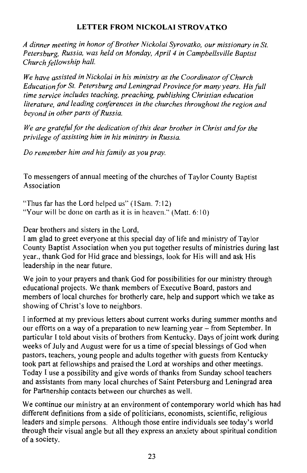## LETTER FROM NICKOLAI STROVATKO

A dinner meeting in honor of Brother Nickolai Syrovatko, our missionary in St. Petershurg, Russia, was held on Monday, April 4 in Campbellsville Baptist Church fellowship hall.

We have assisted in Nickolai in his ministry as the Coordinator of Church Education for St. Petersburg and Leningrad Province for many years. His full time service includes teaching, preaching, publishing Christian education literature, and leading conferences in the churches throughout the region and bevond in other parts of Russia.

We are grateful for the dedication of this dear brother in Christ and for the privilege of assisting him in his ministry in Russia.

Do remember him and his family as you pray.

To messengers of annual meeting of the churches of Taylor County Baptist Association

"Thus far has the Lord helped us" (1Sam. 7:12) "Your will be done on earth as it is in heaven." (Matt.  $6:10$ )

Dear brothers and sisters in the Lord.

I am glad to greet everyone at this special day of life and ministry of Taylor County Baptist Association when you put together results of ministries during last year., thank God for Hid grace and blessings, look for His will and ask His leadership in the near future.

We join to your prayers and thank God for possibilities for our ministry through educational projects. We thank members of Executive Board, pastors and members of local churches for brotherly care, help and support which we take as showing of Christ's love to neighbors.

I informed at my previous letters about current works during summer months and our efforts on a way of a preparation to new learning year – from September. In particular I told about visits of brothers from Kentucky. Days of joint work during weeks of July and August were for us a time of special blessings of God when pastors, teachers, young people and adults together with guests from Kentucky took part at fellowships and praised the Lord at worships and other meetings. Today I use a possibility and give words of thanks from Sunday school teachers and assistants from many local churches of Saint Petersburg and Leningrad area for Partnership contacts between our churches as well.

We continue our ministry at an environment of contemporary world which has had different definitions from a side of politicians, economists, scientific, religious leaders and simple persons. Although those entire individuals see today's world through their visual angle but all they express an anxiety about spiritual condition of a society.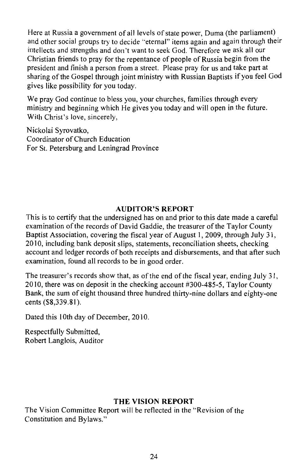Here at Russia a government of all levels of state power, Duma (the parliament) and other social groups try to decide "eternal" items again and again through their intellects and strengths and don't want to seek God. Therefore we ask all our Christian friends to pray for the repentance of people of Russia begin from the president and finish a person from a street. Please pray for us and take part at sharing of the Gospel through joint ministry with Russian Baptists if you feel God gives like possibility for you today.

We pray God continue to bless you, your churches, families through every ministry and beginning which He gives you today and will open in the future. With Christ's love, sincerely,

Nickolai Svrovatko. Coordinator of Church Education For St. Petersburg and Leningrad Province

#### **AUDITOR'S REPORT**

This is to certify that the undersigned has on and prior to this date made a careful examination of the records of David Gaddie, the treasurer of the Taylor County Baptist Association, covering the fiscal year of August 1, 2009, through July 31, 2010, including bank deposit slips, statements, reconciliation sheets, checking account and ledger records of both receipts and disbursements, and that after such examination, found all records to be in good order.

The treasurer's records show that, as of the end of the fiscal year, ending July 31, 2010, there was on deposit in the checking account #300-485-5, Taylor County Bank, the sum of eight thousand three hundred thirty-nine dollars and eighty-one cents (\$8,339.81).

Dated this 10th day of December, 2010.

Respectfully Submitted, Robert Langlois, Auditor

### THE VISION REPORT

The Vision Committee Report will be reflected in the "Revision of the Constitution and Bylaws."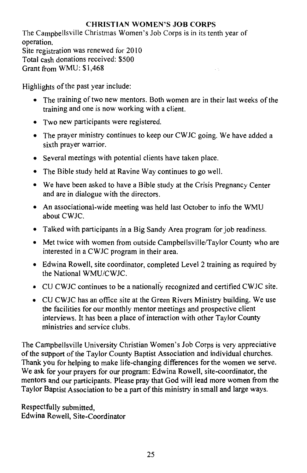## **CHRISTIAN WOMEN'S JOB CORPS**

The Campbellsville Christmas Women's Job Corps is in its tenth year of operation. Site registration was renewed for 2010 Total cash donations received: \$500 Grant from WMU: \$1,468

Highlights of the past year include:

- The training of two new mentors. Both women are in their last weeks of the training and one is now working with a client.
- Two new participants were registered.
- The prayer ministry continues to keep our CWJC going. We have added a sixth prayer warrior.
- Several meetings with potential clients have taken place.
- The Bible study held at Ravine Way continues to go well.
- We have been asked to have a Bible study at the Crisis Pregnancy Center and are in dialogue with the directors.
- An associational-wide meeting was held last October to info the WMU about CWJC.
- Talked with participants in a Big Sandy Area program for job readiness.
- Met twice with women from outside Campbellsville/Taylor County who are interested in a CWJC program in their area.
- Edwina Rowell, site coordinator, completed Level 2 training as required by the National WMU/CWIC.
- CU CWJC continues to be a nationally recognized and certified CWJC site.
- CU CWJC has an office site at the Green Rivers Ministry building. We use the facilities for our monthly mentor meetings and prospective client interviews. It has been a place of interaction with other Taylor County ministries and service clubs.

The Campbellsville University Christian Women's Job Corps is very appreciative of the support of the Taylor County Baptist Association and individual churches. Thank you for helping to make life-changing differences for the women we serve. We ask for your prayers for our program: Edwina Rowell, site-coordinator, the mentors and our participants. Please pray that God will lead more women from the Taylor Baptist Association to be a part of this ministry in small and large ways.

Respectfully submitted, Edwina Rowell, Site-Coordinator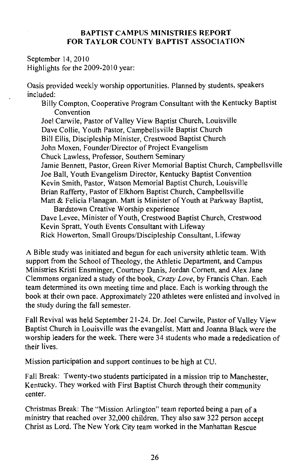#### **BAPTIST CAMPUS MINISTRIES REPORT** FOR TAYLOR COUNTY BAPTIST ASSOCIATION

September 14, 2010 Highlights for the 2009-2010 year:

Oasis provided weekly worship opportunities. Planned by students, speakers included:

Billy Compton, Cooperative Program Consultant with the Kentucky Baptist Convention

Joel Carwile, Pastor of Valley View Baptist Church, Louisville Dave Collie, Youth Pastor, Campbellsville Baptist Church Bill Ellis, Discipleship Minister, Crestwood Baptist Church John Moxen, Founder/Director of Project Evangelism Chuck Lawless, Professor, Southern Seminary Jamie Bennett, Pastor, Green River Memorial Baptist Church, Campbellsville Joe Ball, Youth Evangelism Director, Kentucky Baptist Convention Kevin Smith, Pastor, Watson Memorial Baptist Church, Louisville Brian Rafferty, Pastor of Elkhorn Baptist Church, Campbellsville Matt & Felicia Flanagan. Matt is Minister of Youth at Parkway Baptist, Bardstown Creative Worship experience Dave Levee, Minister of Youth, Crestwood Baptist Church, Crestwood Kevin Spratt, Youth Events Consultant with Lifeway Rick Howerton, Small Groups/Discipleship Consultant, Lifeway

A Bible study was initiated and begun for each university athletic team. With support from the School of Theology, the Athletic Department, and Campus Ministries Kristi Ensminger, Courtney Danis, Jordan Cornett, and Alex Jane Clemmons organized a study of the book, Crazy Love, by Francis Chan. Each team determined its own meeting time and place. Each is working through the book at their own pace. Approximately 220 athletes were enlisted and involved in the study during the fall semester.

Fall Revival was held September 21-24. Dr. Joel Carwile, Pastor of Valley View Baptist Church in Louisville was the evangelist. Matt and Joanna Black were the worship leaders for the week. There were 34 students who made a rededication of their lives.

Mission participation and support continues to be high at CU.

Fall Break: Twenty-two students participated in a mission trip to Manchester. Kentucky. They worked with First Baptist Church through their community center.

Christmas Break: The "Mission Arlington" team reported being a part of a ministry that reached over 32,000 children. They also saw 322 person accent Christ as Lord. The New York City team worked in the Manhattan Rescue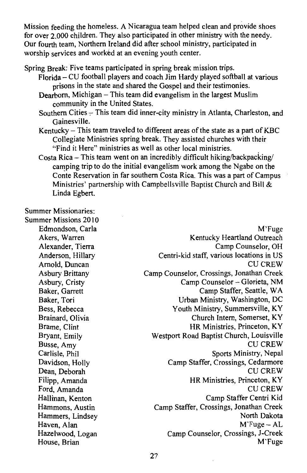Mission feeding the homeless. A Nicaragua team helped clean and provide shoes for over 2,000 children. They also participated in other ministry with the needy. Our fourth team. Northern Ireland did after school ministry, participated in worship services and worked at an evening youth center.

Spring Break: Five teams participated in spring break mission trips.

- Florida CU football players and coach Jim Hardy played softball at various prisons in the state and shared the Gospel and their testimonies.
- Dearborn, Michigan This team did evangelism in the largest Muslim community in the United States.
- Southern Cities This team did inner-city ministry in Atlanta, Charleston, and Gainesville.
- Kentucky This team traveled to different areas of the state as a part of KBC Collegiate Ministries spring break. They assisted churches with their "Find it Here" ministries as well as other local ministries.
- Costa Rica This team went on an incredibly difficult hiking/backpacking/ camping trip to do the initial evangelism work among the Ngabe on the Conte Reservation in far southern Costa Rica. This was a part of Campus Ministries' partnership with Campbellsville Baptist Church and Bill & Linda Egbert.

**Summer Missionaries:** 

Summer Missions 2010 Edmondson, Carla

Akers, Warren Alexander, Tierra Anderson, Hillarv Arnold, Duncan Asbury Brittany Asbury, Cristy Baker, Garrett Baker, Tori Bess, Rebecca Brainard, Olivia Brame, Clint Bryant, Emily Busse, Amy Carlisle, Phil Davidson, Holly Dean, Deborah Filipp, Amanda Ford, Amanda Hallinan, Kenton Hammons, Austin Hammers, Lindsey Haven, Alan Hazelwood, Logan House, Brian

M'Fuge Kentucky Heartland Outreach Camp Counselor, OH Centri-kid staff, various locations in US **CU CREW** Camp Counselor, Crossings, Jonathan Creek Camp Counselor - Glorieta, NM Camp Staffer, Seattle, WA Urban Ministry, Washington, DC Youth Ministry, Summersville, KY Church Intern, Somerset, KY HR Ministries, Princeton, KY Westport Road Baptist Church, Louisville **CU CREW** Sports Ministry, Nepal Camp Staffer, Crossings, Cedarmore **CU CREW** HR Ministries, Princeton, KY **CU CREW** Camp Staffer Centri Kid Camp Staffer, Crossings, Jonathan Creek North Dakota  $M$ Fuge – AL Camp Counselor, Crossings, J-Creek M'Fuge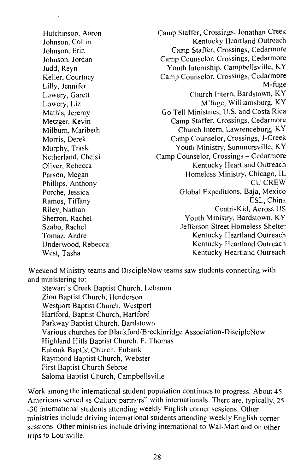Hutchinson, Aaron Johnson, Collin Johnson. Erin Johnson, Jordan Judd, Reyn Keller, Courtney Lilly, Jennifer Lowery, Garett Lowery, Liz Mathis, Jeremy Metzger, Kevin Milburn, Maribeth Morris, Derek Murphy, Trask Netherland, Chelsi Oliver, Rebecca Parson, Megan Phillips, Anthony Porche, Jessica Ramos, Tiffany Riley, Nathan Sherron, Rachel Szabo, Rachel Tomaz, Andre Underwood, Rebecca West, Tasha

Camp Staffer, Crossings, Jonathan Creek Kentucky Heartland Outreach Camp Staffer, Crossings, Cedarmore Camp Counselor, Crossings, Cedarmore Youth Internship, Campbellsville, KY Camp Counselor, Crossings, Cedarmore M-fuge Church Intern, Bardstown, KY M'fuge, Williamsburg, KY Go Tell Ministries, U.S. and Costa Rica Camp Staffer, Crossings, Cedarmore Church Intern, Lawrenceburg, KY Camp Counselor, Crossings, J-Creek Youth Ministry, Summersville, KY Camp Counselor, Crossings - Cedarmore Kentucky Heartland Outreach Homeless Ministry, Chicago, IL **CU CREW** Global Expeditions, Baja, Mexico ESL, China Centri-Kid, Across US Youth Ministry, Bardstown, KY Jefferson Street Homeless Shelter Kentucky Heartland Outreach Kentucky Heartland Outreach Kentucky Heartland Outreach

Weekend Ministry teams and DiscipleNow teams saw students connecting with and ministering to:

Stewart's Creek Baptist Church, Lebanon Zion Baptist Church, Henderson Westport Baptist Church, Westport Hartford, Baptist Church, Hartford Parkway Baptist Church, Bardstown Various churches for Blackford/Breckinridge Association-DiscipleNow Highland Hills Baptist Church, F. Thomas Eubank Baptist Church, Eubank Raymond Baptist Church, Webster First Baptist Church Sebree Saloma Baptist Church, Campbellsville

Work among the international student population continues to progress. About 45 Americans served as Culture partners" with internationals. There are, typically, 25 -30 international students attending weekly English corner sessions. Other ministries include driving international students attending weekly English corner sessions. Other ministries include driving international to Wal-Mart and on other trips to Louisville.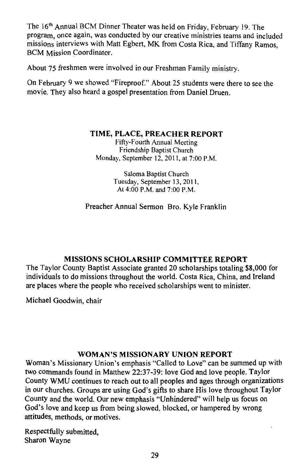The 16<sup>th</sup> Annual BCM Dinner Theater was held on Friday, February 19, The program, once again, was conducted by our creative ministries teams and included missions interviews with Matt Egbert, MK from Costa Rica, and Tiffany Ramos. **BCM Mission Coordinator.** 

About 75 freshmen were involved in our Freshman Family ministry.

On February 9 we showed "Fireproof." About 25 students were there to see the movie. They also heard a gospel presentation from Daniel Druen.

### TIME, PLACE, PREACHER REPORT

Fifty-Fourth Annual Meeting Friendship Baptist Church Monday, September 12, 2011, at 7:00 P.M.

> Saloma Baptist Church Tuesday, September 13, 2011. At 4:00 P.M. and 7:00 P.M.

Preacher Annual Sermon Bro. Kyle Franklin

## **MISSIONS SCHOLARSHIP COMMITTEE REPORT**

The Taylor County Baptist Associate granted 20 scholarships totaling \$8,000 for individuals to do missions throughout the world. Costa Rica, China, and Ireland are places where the people who received scholarships went to minister.

Michael Goodwin, chair

## **WOMAN'S MISSIONARY UNION REPORT**

Woman's Missionary Union's emphasis "Called to Love" can be summed up with two commands found in Matthew 22:37-39: love God and love people. Taylor County WMU continues to reach out to all peoples and ages through organizations in our churches. Groups are using God's gifts to share His love throughout Taylor County and the world. Our new emphasis "Unhindered" will help us focus on God's love and keep us from being slowed, blocked, or hampered by wrong attitudes, methods, or motives.

Respectfully submitted, Sharon Wayne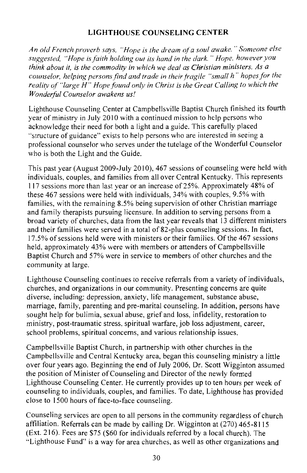## **LIGHTHOUSE COUNSELING CENTER**

An old French proverb says, "Hope is the dream of a soul awake." Someone else suggested, "Hope is faith holding out its hand in the dark." Hope, however you think about it, is the commodity in which we deal as Christian ministers. As a counselor, helping persons find and trade in their fragile "small h" hopes for the reality of "large H" Hope found only in Christ is the Great Calling to which the Wonderful Counselor awakens us!

Lighthouse Counseling Center at Campbellsville Baptist Church finished its fourth year of ministry in July 2010 with a continued mission to help persons who acknowledge their need for both a light and a guide. This carefully placed "structure of guidance" exists to help persons who are interested in seeing a professional counselor who serves under the tutelage of the Wonderful Counselor who is both the Light and the Guide.

This past year (August 2009-July 2010), 467 sessions of counseling were held with individuals, couples, and families from all over Central Kentucky. This represents 117 sessions more than last year or an increase of 25%. Approximately 48% of these 467 sessions were held with individuals, 34% with couples, 9.5% with families, with the remaining 8.5% being supervision of other Christian marriage and family therapists pursuing licensure. In addition to serving persons from a broad variety of churches, data from the last year reveals that 13 different ministers and their families were served in a total of 82-plus counseling sessions. In fact, 17.5% of sessions held were with ministers or their families. Of the 467 sessions held, approximately 43% were with members or attenders of Campbellsville Baptist Church and 57% were in service to members of other churches and the community at large.

Lighthouse Counseling continues to receive referrals from a variety of individuals, churches, and organizations in our community. Presenting concerns are quite diverse, including: depression, anxiety, life management, substance abuse, marriage, family, parenting and pre-marital counseling. In addition, persons have sought help for bulimia, sexual abuse, grief and loss, infidelity, restoration to ministry, post-traumatic stress, spiritual warfare, job loss adjustment, career, school problems, spiritual concerns, and various relationship issues.

Campbellsville Baptist Church, in partnership with other churches in the Campbellsville and Central Kentucky area, began this counseling ministry a little over four years ago. Beginning the end of July 2006, Dr. Scott Wigginton assumed the position of Minister of Counseling and Director of the newly formed Lighthouse Counseling Center. He currently provides up to ten hours per week of counseling to individuals, couples, and families. To date, Lighthouse has provided close to 1500 hours of face-to-face counseling.

Counseling services are open to all persons in the community regardless of church affiliation. Referrals can be made by calling Dr. Wigginton at (270) 465-8115 (Ext. 216). Fees are \$75 (\$60 for individuals referred by a local church). The "Lighthouse Fund" is a way for area churches, as well as other organizations and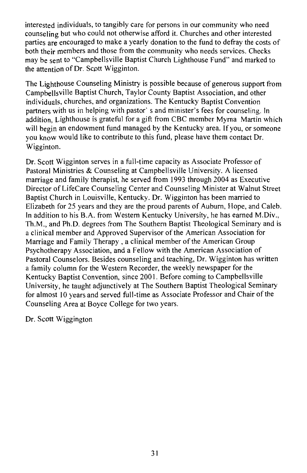interested individuals, to tangibly care for persons in our community who need counseling but who could not otherwise afford it. Churches and other interested parties are encouraged to make a yearly donation to the fund to defray the costs of both their members and those from the community who needs services. Checks may be sent to "Campbellsville Baptist Church Lighthouse Fund" and marked to the attention of Dr. Scott Wigginton.

The Lighthouse Counseling Ministry is possible because of generous support from Campbellsville Baptist Church, Taylor County Baptist Association, and other individuals, churches, and organizations. The Kentucky Baptist Convention partners with us in helping with pastor's and minister's fees for counseling. In addition. Lighthouse is grateful for a gift from CBC member Myrna Martin which will begin an endowment fund managed by the Kentucky area. If you, or someone you know would like to contribute to this fund, please have them contact Dr. Wigginton.

Dr. Scott Wigginton serves in a full-time capacity as Associate Professor of Pastoral Ministries & Counseling at Campbellsville University. A licensed marriage and family therapist, he served from 1993 through 2004 as Executive Director of LifeCare Counseling Center and Counseling Minister at Walnut Street Baptist Church in Louisville, Kentucky, Dr. Wigginton has been married to Elizabeth for 25 years and they are the proud parents of Auburn, Hope, and Caleb. In addition to his B.A. from Western Kentucky University, he has earned M.Div., Th.M., and Ph.D. degrees from The Southern Baptist Theological Seminary and is a clinical member and Approved Supervisor of the American Association for Marriage and Family Therapy, a clinical member of the American Group Psychotherapy Association, and a Fellow with the American Association of Pastoral Counselors. Besides counseling and teaching, Dr. Wigginton has written a family column for the Western Recorder, the weekly newspaper for the Kentucky Baptist Convention, since 2001. Before coming to Campbellsville University, he taught adjunctively at The Southern Baptist Theological Seminary for almost 10 years and served full-time as Associate Professor and Chair of the Counseling Area at Boyce College for two years.

Dr. Scott Wiggington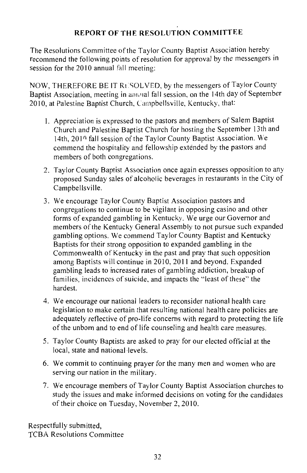## **REPORT OF THE RESOLUTION COMMITTEE**

The Resolutions Committee of the Taylor County Baptist Association hereby recommend the following points of resolution for approval by the messengers in session for the  $2010$  annual fall meeting:

NOW, THEREFORE BE IT RESOLVED, by the messengers of Taylor County Baptist Association, meeting in amoual fall session, on the 14th day of September 2010, at Palestine Baptist Church, Campbellsville, Kentucky, that:

- 1. Appreciation is expressed to the pastors and members of Salem Baptist Church and Palestine Baptist Church for hosting the September 13th and 14th, 2010 fall session of the Taylor County Baptist Association. We commend the hospitality and fellowship extended by the pastors and members of both congregations.
- 2. Taylor County Baptist Association once again expresses opposition to any proposed Sunday sales of alcoholic beverages in restaurants in the City of Campbellsville.
- 3. We encourage Taylor County Baptist Association pastors and congregations to continue to be vigilant in opposing casino and other forms of expanded gambling in Kentucky. We urge our Governor and members of the Kentucky General Assembly to not pursue such expanded gambling options. We commend Taylor County Baptist and Kentucky Baptists for their strong opposition to expanded gambling in the Commonwealth of Kentucky in the past and pray that such opposition among Baptists will continue in 2010, 2011 and beyond. Expanded gambling leads to increased rates of gambling addiction, breakup of families, incidences of suicide, and impacts the "least of these" the hardest
- 4. We encourage our national leaders to reconsider national health care legislation to make certain that resulting national health care policies are adequately reflective of pro-life concerns with regard to protecting the life of the unborn and to end of life counseling and health care measures.
- 5. Taylor County Baptists are asked to pray for our elected official at the local, state and national levels.
- 6. We commit to continuing prayer for the many men and women who are serving our nation in the military.
- 7. We encourage members of Taylor County Baptist Association churches to study the issues and make informed decisions on voting for the candidates of their choice on Tuesday, November 2, 2010.

Respectfully submitted, **TCBA Resolutions Committee**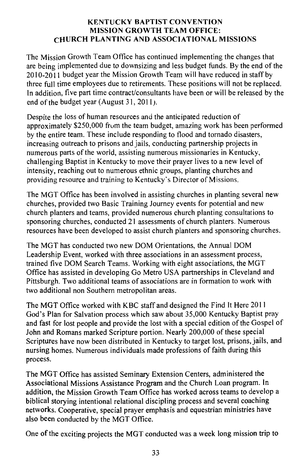#### **KENTUCKY BAPTIST CONVENTION MISSION GROWTH TEAM OFFICE:** CHURCH PLANTING AND ASSOCIATIONAL MISSIONS

The Mission Growth Team Office has continued implementing the changes that are being implemented due to downsizing and less budget funds. By the end of the  $2010 - 2011$  budget year the Mission Growth Team will have reduced in staff by three full time employees due to retirements. These positions will not be replaced. In addition, five part time contract/consultants have been or will be released by the end of the budget year (August 31, 2011).

Despite the loss of human resources and the anticipated reduction of approximately \$250,000 from the team budget, amazing work has been performed by the entire team. These include responding to flood and tornado disasters, increasing outreach to prisons and jails, conducting partnership projects in numerous parts of the world, assisting numerous missionaries in Kentucky, challenging Baptist in Kentucky to move their prayer lives to a new level of intensity, reaching out to numerous ethnic groups, planting churches and providing resource and training to Kentucky's Director of Missions.

The MGT Office has been involved in assisting churches in planting several new churches, provided two Basic Training Journey events for potential and new church planters and teams, provided numerous church planting consultations to sponsoring churches, conducted 21 assessments of church planters. Numerous resources have been developed to assist church planters and sponsoring churches.

The MGT has conducted two new DOM Orientations, the Annual DOM Leadership Event, worked with three associations in an assessment process, trained five DOM Search Teams. Working with eight associations, the MGT Office has assisted in developing Go Metro USA partnerships in Cleveland and Pittsburgh. Two additional teams of associations are in formation to work with two additional non Southern metropolitan areas.

The MGT Office worked with KBC staff and designed the Find It Here 2011 God's Plan for Salvation process which saw about 35,000 Kentucky Baptist pray and fast for lost people and provide the lost with a special edition of the Gospel of John and Romans marked Scripture portion. Nearly 200,000 of these special Scriptures have now been distributed in Kentucky to target lost, prisons, jails, and nursing homes. Numerous individuals made professions of faith during this process.

The MGT Office has assisted Seminary Extension Centers, administered the Associational Missions Assistance Program and the Church Loan program. In addition, the Mission Growth Team Office has worked across teams to develop a biblical storying intentional relational discipling process and several coaching networks. Cooperative, special prayer emphasis and equestrian ministries have also been conducted by the MGT Office.

One of the exciting projects the MGT conducted was a week long mission trip to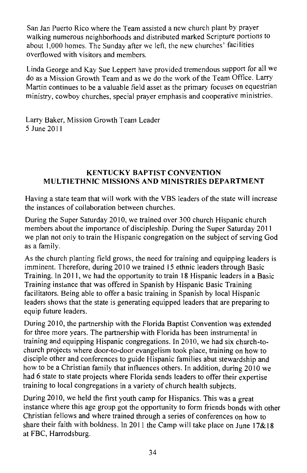San Jan Puerto Rico where the Team assisted a new church plant by prayer walking numerous neighborhoods and distributed marked Scripture portions to about 1,000 homes. The Sunday after we left, the new churches' facilities overflowed with visitors and members.

Linda George and Kay Sue Leppert have provided tremendous support for all we do as a Mission Growth Team and as we do the work of the Team Office. Larry Martin continues to be a valuable field asset as the primary focuses on equestrian ministry, cowboy churches, special prayer emphasis and cooperative ministries.

Larry Baker, Mission Growth Team Leader 5 June 2011

### **KENTUCKY BAPTIST CONVENTION** MULTIETHNIC MISSIONS AND MINISTRIES DEPARTMENT

Having a state team that will work with the VBS leaders of the state will increase the instances of collaboration between churches.

During the Super Saturday 2010, we trained over 300 church Hispanic church members about the importance of discipleship. During the Super Saturday 2011 we plan not only to train the Hispanic congregation on the subject of serving God as a family.

As the church planting field grows, the need for training and equipping leaders is imminent. Therefore, during 2010 we trained 15 ethnic leaders through Basic Training. In 2011, we had the opportunity to train 18 Hispanic leaders in a Basic Training instance that was offered in Spanish by Hispanic Basic Training facilitators. Being able to offer a basic training in Spanish by local Hispanic leaders shows that the state is generating equipped leaders that are preparing to equip future leaders.

During 2010, the partnership with the Florida Baptist Convention was extended for three more years. The partnership with Florida has been instrumental in training and equipping Hispanic congregations. In 2010, we had six church-tochurch projects where door-to-door evangelism took place, training on how to disciple other and conferences to guide Hispanic families abut stewardship and how to be a Christian family that influences others. In addition, during 2010 we had 6 state to state projects where Florida sends leaders to offer their expertise training to local congregations in a variety of church health subjects.

During 2010, we held the first youth camp for Hispanics. This was a great instance where this age group got the opportunity to form friends bonds with other Christian fellows and where trained through a series of conferences on how to share their faith with boldness. In 2011 the Camp will take place on June  $17&818$ at FBC, Harrodsburg.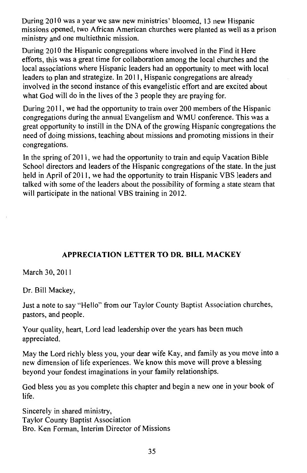During 2010 was a year we saw new ministries' bloomed, 13 new Hispanic missions opened, two African American churches were planted as well as a prison ministry and one multiethnic mission.

During 2010 the Hispanic congregations where involved in the Find it Here efforts, this was a great time for collaboration among the local churches and the local associations where Hispanic leaders had an opportunity to meet with local leaders to plan and strategize. In 2011, Hispanic congregations are already involved in the second instance of this evangelistic effort and are excited about what God will do in the lives of the 3 people they are praying for.

During 2011, we had the opportunity to train over 200 members of the Hispanic congregations during the annual Evangelism and WMU conference. This was a great opportunity to instill in the DNA of the growing Hispanic congregations the need of doing missions, teaching about missions and promoting missions in their congregations.

In the spring of 2011, we had the opportunity to train and equip Vacation Bible School directors and leaders of the Hispanic congregations of the state. In the just held in April of 2011, we had the opportunity to train Hispanic VBS leaders and talked with some of the leaders about the possibility of forming a state steam that will participate in the national VBS training in 2012.

## APPRECIATION LETTER TO DR. BILL MACKEY

March 30, 2011

Dr. Bill Mackey,

Just a note to say "Hello" from our Taylor County Baptist Association churches, pastors, and people.

Your quality, heart, Lord lead leadership over the years has been much appreciated.

May the Lord richly bless you, your dear wife Kay, and family as you move into a new dimension of life experiences. We know this move will prove a blessing beyond your fondest imaginations in your family relationships.

God bless you as you complete this chapter and begin a new one in your book of life.

Sincerely in shared ministry, **Taylor County Baptist Association** Bro. Ken Forman, Interim Director of Missions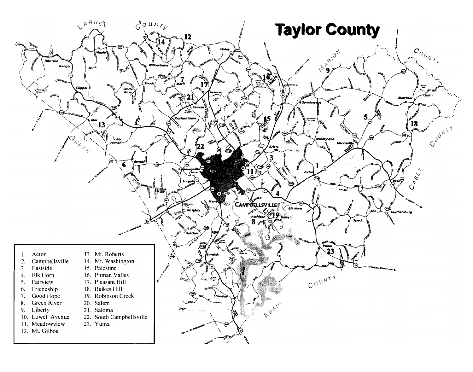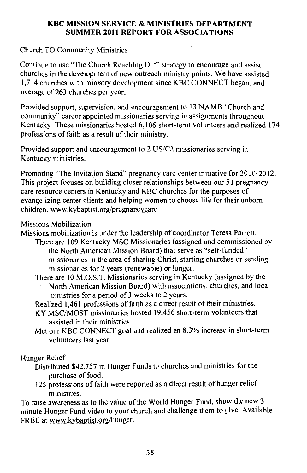#### **KBC MISSION SERVICE & MINISTRIES DEPARTMENT SUMMER 2011 REPORT FOR ASSOCIATIONS**

**Church TO Community Ministries** 

Continue to use "The Church Reaching Out" strategy to encourage and assist churches in the development of new outreach ministry points. We have assisted 1.714 churches with ministry development since KBC CONNECT began, and average of 263 churches per year.

Provided support, supervision, and encouragement to 13 NAMB "Church and community" career appointed missionaries serving in assignments throughout Kentucky. These missionaries hosted 6,106 short-term volunteers and realized 174 professions of faith as a result of their ministry.

Provided support and encouragement to 2 US/C2 missionaries serving in Kentucky ministries.

Promoting "The Invitation Stand" pregnancy care center initiative for 2010-2012. This project focuses on building closer relationships between our 51 pregnancy care resource centers in Kentucky and KBC churches for the purposes of evangelizing center clients and helping women to choose life for their unborn children. www.kybaptist.org/pregnancycare

**Missions Mobilization** 

Missions mobilization is under the leadership of coordinator Teresa Parrett.

- There are 109 Kentucky MSC Missionaries (assigned and commissioned by the North American Mission Board) that serve as "self-funded" missionaries in the area of sharing Christ, starting churches or sending missionaries for 2 years (renewable) or longer.
	- There are 10 M.O.S.T. Missionaries serving in Kentucky (assigned by the North American Mission Board) with associations, churches, and local ministries for a period of 3 weeks to 2 years.

Realized 1,461 professions of faith as a direct result of their ministries.

- KY MSC/MOST missionaries hosted 19,456 short-term volunteers that assisted in their ministries.
- Met our KBC CONNECT goal and realized an 8.3% increase in short-term volunteers last year.

Hunger Relief

- Distributed \$42,757 in Hunger Funds to churches and ministries for the purchase of food.
- 125 professions of faith were reported as a direct result of hunger relief ministries.

To raise awareness as to the value of the World Hunger Fund, show the new 3 minute Hunger Fund video to your church and challenge them to give. Available FREE at www.kybaptist.org/hunger.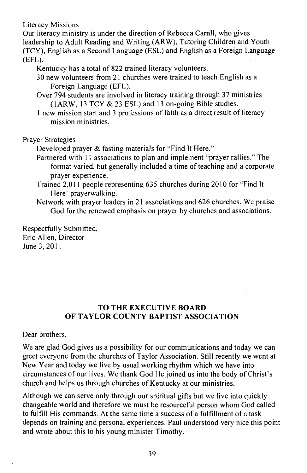**Literacy Missions** 

Our literacy ministry is under the direction of Rebecca Carnll, who gives leadership to Adult Reading and Writing (ARW), Tutoring Children and Youth (TCY), English as a Second Language (ESL) and English as a Foreign Language  $(EFL)$ .

Kentucky has a total of 822 trained literacy volunteers.

30 new volunteers from 21 churches were trained to teach English as a Foreign Language (EFL).

Over 794 students are involved in literacy training through 37 ministries (1ARW, 13 TCY & 23 ESL) and 13 on-going Bible studies.

1 new mission start and 3 professions of faith as a direct result of literacy mission ministries.

**Praver Strategies** 

Developed prayer & fasting materials for "Find It Here."

- Partnered with 11 associations to plan and implement "prayer rallies." The format varied, but generally included a time of teaching and a corporate praver experience.
- Trained 2,011 people representing 635 churches during 2010 for "Find It" Here' prayerwalking.

Network with prayer leaders in 21 associations and 626 churches. We praise God for the renewed emphasis on prayer by churches and associations.

Respectfully Submitted. Eric Allen, Director June 3, 2011

## TO THE EXECUTIVE BOARD OF TAYLOR COUNTY BAPTIST ASSOCIATION

Dear brothers,

We are glad God gives us a possibility for our communications and today we can greet everyone from the churches of Taylor Association. Still recently we went at New Year and today we live by usual working rhythm which we have into circumstances of our lives. We thank God He joined us into the body of Christ's church and helps us through churches of Kentucky at our ministries.

Although we can serve only through our spiritual gifts but we live into quickly changeable world and therefore we must be resourceful person whom God called to fulfill His commands. At the same time a success of a fulfillment of a task depends on training and personal experiences. Paul understood very nice this point and wrote about this to his young minister Timothy.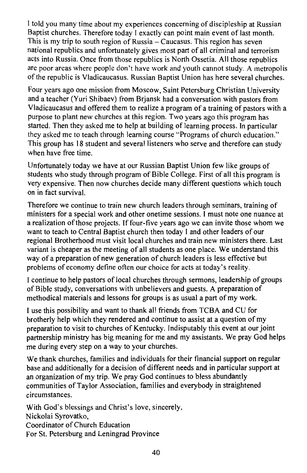I told you many time about my experiences concerning of discipleship at Russian Baptist churches. Therefore today I exactly can point main event of last month. This is my trip to south region of Russia – Caucasus. This region has seven national republics and unfortunately gives most part of all criminal and terrorism acts into Russia. Once from those republics is North Ossetia. All those republics are poor areas where people don't have work and youth cannot study. A metropolis of the republic is Vladicaucasus. Russian Baptist Union has here several churches.

Four years ago one mission from Moscow, Saint Petersburg Christian University and a teacher (Yuri Shibaev) from Brjansk had a conversation with pastors from Vladicaucasus and offered them to realize a program of a training of pastors with a purpose to plant new churches at this region. Two years ago this program has started. Then they asked me to help at building of learning process. In particular they asked me to teach through learning course "Programs of church education." This group has 18 student and several listeners who serve and therefore can study when have free time.

Unfortunately today we have at our Russian Baptist Union few like groups of students who study through program of Bible College. First of all this program is very expensive. Then now churches decide many different questions which touch on in fact survival.

Therefore we continue to train new church leaders through seminars, training of ministers for a special work and other onetime sessions. I must note one nuance at a realization of those projects. If four-five years ago we can invite those whom we want to teach to Central Baptist church then today I and other leaders of our regional Brotherhood must visit local churches and train new ministers there. Last variant is cheaper as the meeting of all students as one place. We understand this way of a preparation of new generation of church leaders is less effective but problems of economy define often our choice for acts at today's reality.

I continue to help pastors of local churches through sermons, leadership of groups of Bible study, conversations with unbelievers and guests. A preparation of methodical materials and lessons for groups is as usual a part of my work.

I use this possibility and want to thank all friends from TCBA and CU for brotherly help which they rendered and continue to assist at a question of my preparation to visit to churches of Kentucky. Indisputably this event at our joint partnership ministry has big meaning for me and my assistants. We pray God helps me during every step on a way to your churches.

We thank churches, families and individuals for their financial support on regular base and additionally for a decision of different needs and in particular support at an organization of my trip. We pray God continues to bless abundantly communities of Taylor Association, families and everybody in straightened circumstances.

With God's blessings and Christ's love, sincerely, Nickolai Svrovatko. Coordinator of Church Education For St. Petersburg and Leningrad Province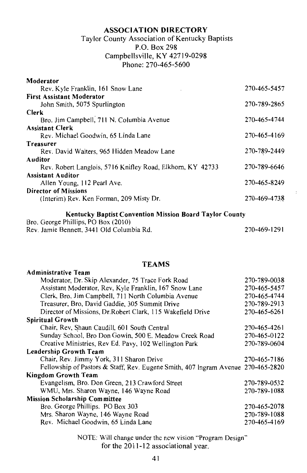#### **ASSOCIATION DIRECTORY**

## Taylor County Association of Kentucky Baptists P.O. Box 298 Campbellsville, KY 42719-0298 Phone: 270-465-5600

| Moderator                                                 |              |
|-----------------------------------------------------------|--------------|
| Rev. Kyle Franklin, 161 Snow Lane                         | 270-465-5457 |
| <b>First Assistant Moderator</b>                          |              |
| John Smith, 5075 Spurlington                              | 270-789-2865 |
| Clerk                                                     |              |
| Bro. Jim Campbell, 711 N. Columbia Avenue                 | 270-465-4744 |
| <b>Assistant Clerk</b>                                    |              |
| Rev. Michael Goodwin, 65 Linda Lane                       | 270-465-4169 |
| Treasurer                                                 |              |
| Rev. David Walters, 965 Hidden Meadow Lane                | 270-789-2449 |
| Auditor                                                   |              |
| Rev. Robert Langlois, 5716 Knifley Road, Elkhom, KY 42733 | 270-789-6646 |
| <b>Assistant Auditor</b>                                  |              |
| Allen Young, 112 Pearl Ave.                               | 270-465-8249 |
| <b>Director of Missions</b>                               |              |
| (Interim) Rev. Ken Forman, 209 Misty Dr.                  | 270-469-4738 |
|                                                           |              |

Kentucky Baptist Convention Mission Board Taylor County

Bro. George Phillips, PO Box (2010)

Rev. Jamie Bennett, 3441 Old Columbia Rd. 270-469-1291

#### **TEAMS**

| Administrative Team                                                              |              |
|----------------------------------------------------------------------------------|--------------|
| Moderator, Dr. Skip Alexander, 75 Trace Fork Road                                | 270-789-0038 |
| Assistant Moderator, Rev, Kyle Franklin, 167 Snow Lane                           | 270-465-5457 |
| Clerk, Bro, Jim Campbell, 711 North Columbia Avenue                              | 270-465-4744 |
| Treasurer, Bro, David Gaddie, 305 Summit Drive                                   | 270-789-2913 |
| Director of Missions, Dr.Robert Clark, 115 Wakefield Drive                       | 270-465-6261 |
| <b>Spiritual Growth</b>                                                          |              |
| Chair, Rev, Shaun Caudill, 601 South Central                                     | 270-465-4261 |
| Sunday School, Bro Don Gowin, 500 E. Meadow Creek Road                           | 270-465-0122 |
| Creative Ministries, Rev Ed. Pavy, 102 Wellington Park                           | 270-789-0604 |
| Leadership Growth Team                                                           |              |
| Chair, Rev. Jimmy York, 311 Sharon Drive                                         | 270-465-7186 |
| Fellowship of Pastors & Staff, Rev. Eugene Smith, 407 Ingram Avenue 270-465-2820 |              |
| Kingdom Growth Team                                                              |              |
| Evangelism, Bro. Don Green, 213 Crawford Street                                  | 270-789-0532 |
| WMU, Mrs. Sharon Wayne, 146 Wayne Road                                           | 270-789-1088 |
| <b>Mission Scholarship Committee</b>                                             |              |
| Bro. George Phillips. PO Box 303                                                 | 270-465-2078 |
| Mrs. Sharon Wayne, 146 Wayne Road                                                | 270-789-1088 |
| Rev. Michael Goodwin, 65 Linda Lane                                              | 270-465-4169 |
|                                                                                  |              |

NOTE: Will change under the new vision "Program Design" for the 2011-12 associational year.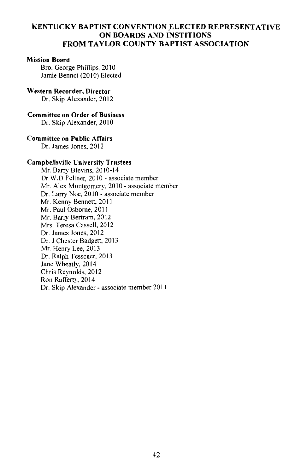#### **KENTUCKY BAPTIST CONVENTION ELECTED REPRESENTATIVE** ON BOARDS AND INSTITIONS **FROM TAYLOR COUNTY BAPTIST ASSOCIATION**

#### **Mission Board**

Bro. George Phillips, 2010 Jamie Bennet (2010) Elected

#### Western Recorder, Director

Dr. Skip Alexander, 2012

#### **Committee on Order of Business**

Dr. Skip Alexander, 2010

#### Committee on Public Affairs

Dr. James Jones, 2012

#### **Campbellsville University Trustees**

Mr. Barry Blevins, 2010-14 Dr.W.D Feltner, 2010 - associate member Mr. Alex Montgomery, 2010 - associate member Dr. Larry Noe, 2010 - associate member Mr. Kenny Bennett, 2011 Mr. Paul Osborne, 2011 Mr. Barry Bertram, 2012 Mrs. Teresa Cassell. 2012 Dr. James Jones, 2012 Dr. J Chester Badgett, 2013 Mr. Henry Lee, 2013 Dr. Ralph Tessener, 2013 Jane Wheatly, 2014 Chris Reynolds, 2012 Ron Rafferty, 2014 Dr. Skip Alexander - associate member 2011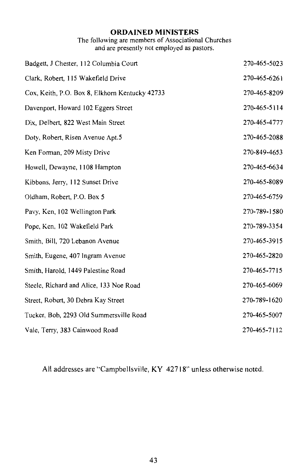## **ORDAINED MINISTERS**

The following are members of Associational Churches<br>and are presently not employed as pastors.

| Badgett, J Chester, 112 Columbia Court         | 270-465-5023 |
|------------------------------------------------|--------------|
| Clark, Robert, 115 Wakefield Drive             | 270-465-6261 |
| Cox, Keith, P.O. Box 8, Elkhorn Kentucky 42733 | 270-465-8209 |
| Davenport, Howard 102 Eggers Street            | 270-465-5114 |
| Dix, Delbert, 822 West Main Street             | 270-465-4777 |
| Doty, Robert, Risen Avenue Apt.5               | 270-465-2088 |
| Ken Forman, 209 Misty Drive                    | 270-849-4653 |
| Howell, Dewayne, 1108 Hampton                  | 270-465-6634 |
| Kibbons, Jerry, 112 Sunset Drive               | 270-465-8089 |
| Oldham, Robert, P.O. Box 5                     | 270-465-6759 |
| Pavy, Ken, 102 Wellington Park                 | 270-789-1580 |
| Pope, Ken, 102 Wakefield Park                  | 270-789-3354 |
| Smith, Bill, 720 Lebanon Avenue                | 270-465-3915 |
| Smith, Eugene, 407 Ingram Avenue               | 270-465-2820 |
| Smith, Harold, 1449 Palestine Road             | 270-465-7715 |
| Steele, Richard and Alice, 133 Noe Road        | 270-465-6069 |
| Street, Robert, 30 Debra Kay Street            | 270-789-1620 |
| Tucker, Bob, 2293 Old Summersville Road        | 270-465-5007 |
| Vale, Terry, 383 Cainwood Road                 | 270-465-7112 |

All addresses are "Campbellsville, KY 42718" unless otherwise noted.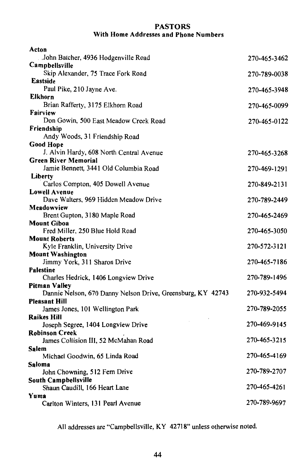#### **PASTORS** With Home Addresses and Phone Numbers

| Acton                                                       |              |
|-------------------------------------------------------------|--------------|
| John Batcher, 4936 Hodgenville Road                         | 270-465-3462 |
| Campbellsville                                              |              |
| Skip Alexander, 75 Trace Fork Road                          | 270-789-0038 |
| <b>Eastside</b>                                             |              |
| Paul Pike, 210 Jayne Ave.                                   | 270-465-3948 |
| <b>Elkhorn</b>                                              |              |
| Brian Rafferty, 3175 Elkhorn Road                           | 270-465-0099 |
| Fairview<br>Don Gowin, 500 East Meadow Creek Road           |              |
| Friendship                                                  | 270-465-0122 |
| Andy Woods, 31 Friendship Road                              |              |
| <b>Good Hope</b>                                            |              |
| J. Alvin Hardy, 608 North Central Avenue                    | 270-465-3268 |
| <b>Green River Memorial</b>                                 |              |
| Jamie Bennett, 3441 Old Columbia Road                       | 270-469-1291 |
| Liberty                                                     |              |
| Carlos Compton, 405 Dowell Avenue                           | 270-849-2131 |
| <b>Lowell Avenue</b>                                        |              |
| Dave Walters, 969 Hidden Meadow Drive                       | 270-789-2449 |
| Meadowview                                                  |              |
| Brent Gupton, 3180 Maple Road                               | 270-465-2469 |
| <b>Mount Giboa</b>                                          |              |
| Fred Miller, 250 Blue Hold Road                             | 270-465-3050 |
| <b>Mount Roberts</b>                                        |              |
| Kyle Franklin, University Drive                             | 270-572-3121 |
| <b>Mount Washington</b><br>Jimmy York, 311 Sharon Drive     | 270-465-7186 |
| Palestine                                                   |              |
| Charles Hedrick, 1406 Longview Drive                        | 270-789-1496 |
| Pitman Valley                                               |              |
| Dannie Nelson, 670 Danny Nelson Drive, Greensburg, KY 42743 | 270-932-5494 |
| Pleasant Hill                                               |              |
| James Jones, 101 Wellington Park                            | 270-789-2055 |
| Raikes Hill                                                 |              |
| Joseph Segree, 1404 Longview Drive                          | 270-469-9145 |
| <b>Robinson Creek</b>                                       |              |
| James Collision III, 52 McMahan Road                        | 270-465-3215 |
| Salem                                                       |              |
| Michael Goodwin, 65 Linda Road                              | 270-465-4169 |
| Saloma                                                      |              |
| John Chowning, 512 Fern Drive                               | 270-789-2707 |
| South Campbellsville<br>Shaun Caudill, 166 Heart Lane       | 270-465-4261 |
| Yuma                                                        |              |
| Carlton Winters, 131 Pearl Avenue                           | 270-789-9697 |
|                                                             |              |

All addresses are "Campbellsville, KY 42718" unless otherwise noted.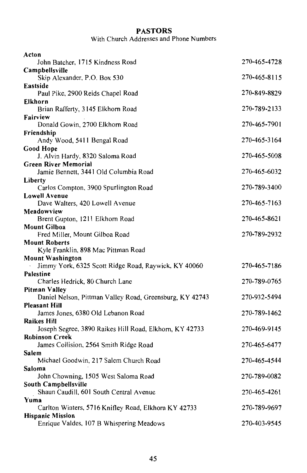## **PASTORS**

With Church Addresses and Phone Numbers

| 270-465-4728 |
|--------------|
|              |
| 270-465-8115 |
|              |
| 270-849-8829 |
| 270-789-2133 |
|              |
| 270-465-7901 |
|              |
| 270-465-3164 |
|              |
| 270-465-5008 |
| 270-465-6032 |
|              |
| 270-789-3400 |
|              |
| 270-465-7163 |
| 270-465-8621 |
|              |
| 270-789-2932 |
|              |
|              |
|              |
| 270-465-7186 |
| 270-789-0765 |
|              |
| 270-932-5494 |
|              |
| 270-789-1462 |
|              |
| 270-469-9145 |
|              |
| 270-465-6477 |
| 270-465-4544 |
|              |
| 270-789-0082 |
|              |
| 270-465-4261 |
| 270-789-9697 |
|              |
| 270-403-9545 |
|              |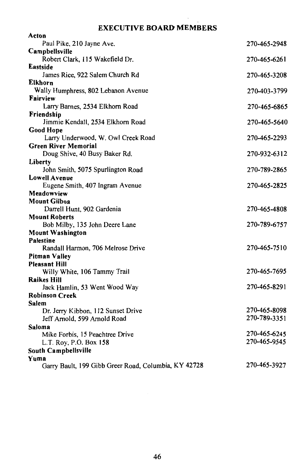## **EXECUTIVE BOARD MEMBERS**

 $\sim$ 

| Acton                                                |              |
|------------------------------------------------------|--------------|
| Paul Pike, 210 Jayne Ave.                            | 270-465-2948 |
| Campbellsville                                       |              |
| Robert Clark, 115 Wakefield Dr.                      | 270-465-6261 |
| <b>Eastside</b>                                      |              |
| James Rice, 922 Salem Church Rd                      | 270-465-3208 |
| Elkhorn                                              |              |
| Wally Humphress, 802 Lebanon Avenue                  | 270-403-3799 |
| Fairview                                             |              |
| Larry Barnes, 2534 Elkhorn Road                      | 270-465-6865 |
| Friendship                                           |              |
| Jimmie Kendall, 2534 Elkhorn Road                    | 270-465-5640 |
| <b>Good Hope</b>                                     |              |
| Larry Underwood, W. Owl Creek Road                   | 270-465-2293 |
| <b>Green River Memorial</b>                          |              |
| Doug Shive, 40 Busy Baker Rd.                        | 270-932-6312 |
| Liberty<br>John Smith, 5075 Spurlington Road         | 270-789-2865 |
| <b>Lowell Avenue</b>                                 |              |
| Eugene Smith, 407 Ingram Avenue                      | 270-465-2825 |
| Meadowview                                           |              |
| <b>Mount Gilboa</b>                                  |              |
| Darrell Hunt, 902 Gardenia                           | 270-465-4808 |
| <b>Mount Roberts</b>                                 |              |
| Bob Milby, 135 John Deere Lane                       | 270-789-6757 |
| <b>Mount Washington</b>                              |              |
| Palestine                                            |              |
| Randall Harmon, 706 Melrose Drive                    | 270-465-7510 |
| <b>Pitman Valley</b>                                 |              |
| <b>Pleasant Hill</b>                                 |              |
| Willy White, 106 Tammy Trail                         | 270-465-7695 |
| <b>Raikes Hill</b>                                   |              |
| Jack Hamlin, 53 Went Wood Way                        | 270-465-8291 |
| <b>Robinson Creek</b>                                |              |
| Salem                                                |              |
| Dr. Jerry Kibbon, 112 Sunset Drive                   | 270-465-8098 |
| Jeff Arnold, 599 Arnold Road                         | 270-789-3351 |
| Saloma                                               |              |
| Mike Forbis, 15 Peachtree Drive                      | 270-465-6245 |
| L.T. Roy, P.O. Box 158                               | 270-465-9545 |
| South Campbellsville                                 |              |
| Yuma                                                 | 270-465-3927 |
| Garry Bault, 199 Gibb Greer Road, Columbia, KY 42728 |              |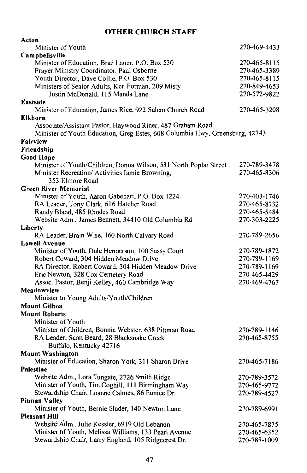## **OTHER CHURCH STAFF**

| Acton                                                                        |              |
|------------------------------------------------------------------------------|--------------|
| Minister of Youth                                                            | 270-469-4433 |
| Campbellsville                                                               |              |
| Minister of Education, Brad Lauer, P.O. Box 530                              | 270-465-8115 |
| Prayer Ministry Coordinator, Paul Osborne                                    | 270-465-3389 |
| Youth Director, Dave Collie, P.O. Box 530                                    | 270-465-8115 |
| Ministers of Senior Adults, Ken Forman, 209 Misty                            | 270-849-4653 |
| Justin McDonald, 115 Manda Lane                                              | 270-572-9822 |
| Eastside                                                                     |              |
| Minister of Education, James Rice, 922 Salem Church Road                     | 270-465-3208 |
| <b>Elkhorn</b>                                                               |              |
| Associate/Assistant Pastor, Haywood Riner, 487 Graham Road                   |              |
| Minister of Youth Education, Greg Estes, 608 Columbia Hwy, Greensburg, 42743 |              |
| Fairview                                                                     |              |
| Friendship                                                                   |              |
| Good Hope                                                                    |              |
| Minister of Youth/Children, Donna Wilson, 531 North Poplar Street            | 270-789-3478 |
| Minister Recreation/ Activities Jamie Browning,                              | 270-465-8306 |
| 353 Elmore Road                                                              |              |
| <b>Green River Memorial</b>                                                  |              |
|                                                                              | 270-403-1746 |
| Minister of Youth, Aaron Gabehart, P.O. Box 1224                             |              |
| RA Leader, Tony Clark, 616 Hatcher Road                                      | 270-465-8732 |
| Randy Bland, 485 Rhodes Road                                                 | 270-465-5484 |
| Website Adm., James Bennett, 34410 Old Columbia Rd                           | 270-303-2225 |
| Liberty                                                                      |              |
| RA Leader, Brain Wise, 160 North Calvary Road                                | 270-789-2656 |
| <b>Lowell Avenue</b>                                                         |              |
| Minister of Youth, Dale Henderson, 100 Sassy Court                           | 270-789-1872 |
| Robert Coward, 304 Hidden Meadow Drive                                       | 270-789-1169 |
| RA Director, Robert Coward, 304 Hidden Meadow Drive                          | 270-789-1169 |
| Eric Newton, 328 Cox Cemetery Road                                           | 270-465-4429 |
| Assoc. Pastor, Benji Kelley, 460 Cambridge Way                               | 270-469-4767 |
| Meadowview                                                                   |              |
| Minister to Young Adults/Youth/Children                                      |              |
| <b>Mount Gilboa</b>                                                          |              |
| <b>Mount Roberts</b>                                                         |              |
| Minister of Youth                                                            |              |
| Minister of Children, Bonnie Webster, 638 Pittman Road                       | 270-789-1146 |
| RA Leader, Scott Beard, 28 Blacksnake Creek                                  | 270-465-8755 |
| Buffalo, Kentucky 42716                                                      |              |
| <b>Mount Washington</b>                                                      |              |
| Minister of Education, Sharon York, 311 Sharon Drive                         | 270-465-7186 |
| Palestine                                                                    |              |
| Website Adm., Lora Tungate, 2726 Smith Ridge                                 | 270-789-3572 |
| Minister of Youth, Tim Coghill, 111 Birmingham Way                           | 270-465-9772 |
| Stewardship Chair, Loanne Calmes, 86 Eunice Dr.                              | 270-789-4527 |
| Pitman Valley                                                                |              |
| Minister of Youth, Bernie Sluder, 140 Newton Lane                            | 270-789-6991 |
| <b>Pleasant Hill</b>                                                         |              |
| Website Adm., Julie Kessler, 6919 Old Lebanon                                | 270-465-7875 |
| Minister of Youth, Melissa Williams, 133 Pearl Avenue                        | 270-465-6352 |
| Stewardship Chair, Larry England, 105 Ridgecrest Dr.                         | 270-789-1009 |
|                                                                              |              |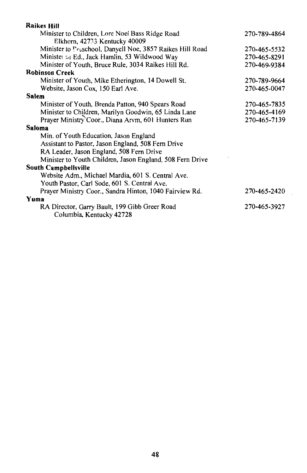| <b>Raikes Hill</b>                                                               |              |
|----------------------------------------------------------------------------------|--------------|
| Minister to Children, Lore Noel Bass Ridge Road<br>Elkhorn, 42733 Kentucky 40009 | 270-789-4864 |
| Minister to Preschool, Danyell Noe, 3857 Raikes Hill Road                        | 270-465-5532 |
| Ministe: or Ed., Jack Hamlin, 53 Wildwood Way                                    | 270-465-8291 |
| Minister of Youth, Bruce Rule, 3034 Raikes Hill Rd.                              | 270-469-9384 |
| <b>Robinson Creek</b>                                                            |              |
| Minister of Youth, Mike Etherington, 14 Dowell St.                               | 270-789-9664 |
| Website, Jason Cox, 150 Earl Ave.                                                | 270-465-0047 |
| Salem                                                                            |              |
| Minister of Youth, Brenda Patton, 940 Spears Road                                | 270-465-7835 |
| Minister to Children, Marilyn Goodwin, 65 Linda Lane                             | 270-465-4169 |
| Prayer Ministry Coor., Diana Arvm, 601 Hunters Run                               | 270-465-7139 |
| Saloma                                                                           |              |
| Min. of Youth Education, Jason England                                           |              |
| Assistant to Pastor, Jason England, 508 Fern Drive                               |              |
| RA Leader, Jason England, 508 Fern Drive                                         |              |
| Minister to Youth Children, Jason England, 508 Fern Drive                        |              |
| South Campbellsville                                                             |              |
| Website Adm., Michael Mardia, 601 S. Central Ave.                                |              |
| Youth Pastor, Carl Sode, 601 S. Central Ave.                                     |              |
| Prayer Ministry Coor., Sandra Hinton, 1040 Fairview Rd.                          | 270-465-2420 |
| Yuma                                                                             |              |
| RA Director, Garry Bault, 199 Gibb Greer Road                                    | 270-465-3927 |
| Columbia, Kentucky 42728                                                         |              |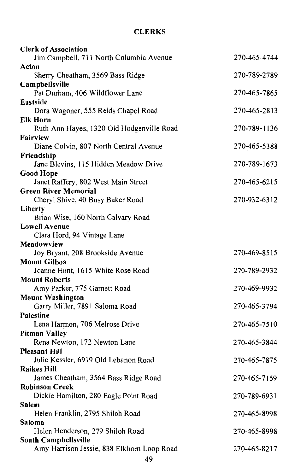## **CLERKS**

| <b>Clerk of Association</b>                                        |              |
|--------------------------------------------------------------------|--------------|
| Jim Campbell, 711 North Columbia Avenue                            | 270-465-4744 |
| Acton                                                              |              |
| Sherry Cheatham, 3569 Bass Ridge                                   | 270-789-2789 |
| Campbellsville                                                     |              |
| Pat Durham, 406 Wildflower Lane                                    | 270-465-7865 |
| Eastside                                                           |              |
| Dora Wagoner, 555 Reids Chapel Road                                | 270-465-2813 |
| <b>Elk Horn</b>                                                    |              |
| Ruth Ann Hayes, 1320 Old Hodgenville Road                          | 270-789-1136 |
| Fairview                                                           |              |
| Diane Colvin, 807 North Central Avenue                             | 270-465-5388 |
| Friendship                                                         |              |
| Jane Blevins, 115 Hidden Meadow Drive                              | 270-789-1673 |
| <b>Good Hope</b>                                                   | 270-465-6215 |
| Janet Raffery, 802 West Main Street                                |              |
| <b>Green River Memorial</b><br>Cheryl Shive, 40 Busy Baker Road    | 270-932-6312 |
| Liberty                                                            |              |
| Brian Wise, 160 North Calvary Road                                 |              |
| <b>Lowell Avenue</b>                                               |              |
| Clara Hord, 94 Vintage Lane                                        |              |
| Meadowview                                                         |              |
| Joy Bryant, 208 Brookside Avenue                                   | 270-469-8515 |
| <b>Mount Gilboa</b>                                                |              |
| Joanne Hunt, 1615 White Rose Road                                  | 270-789-2932 |
| <b>Mount Roberts</b>                                               |              |
| Amy Parker, 775 Garnett Road                                       | 270-469-9932 |
| <b>Mount Washington</b>                                            |              |
| Garry Miller, 7891 Saloma Road                                     | 270-465-3794 |
| Palestine                                                          |              |
| Lena Harmon, 706 Melrose Drive                                     | 270-465-7510 |
| Pitman Valley                                                      |              |
| Rena Newton, 172 Newton Lane                                       | 270-465-3844 |
| <b>Pleasant Hill</b>                                               |              |
| Julie Kessler, 6919 Old Lebanon Road                               | 270-465-7875 |
| <b>Raikes Hill</b>                                                 |              |
| James Cheatham, 3564 Bass Ridge Road                               | 270-465-7159 |
| <b>Robinson Creek</b>                                              |              |
| Dickie Hamilton, 280 Eagle Point Road                              | 270-789-6931 |
| Salem                                                              |              |
| Helen Franklin, 2795 Shiloh Road                                   | 270-465-8998 |
| Saloma                                                             |              |
| Helen Henderson, 279 Shiloh Road                                   | 270-465-8998 |
| South Campbellsville<br>Amy Harrison Jessie, 838 Elkhorn Loop Road | 270-465-8217 |
|                                                                    |              |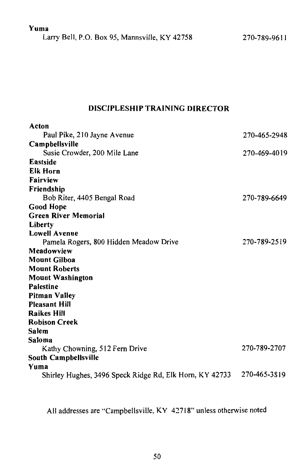Yuma

Larry Bell, P.O. Box 95, Mannsville, KY 42758

## **DISCIPLESHIP TRAINING DIRECTOR**

| Acton                                                   |              |
|---------------------------------------------------------|--------------|
| Paul Pike, 210 Jayne Avenue                             | 270-465-2948 |
| Campbellsville                                          |              |
| Susie Crowder, 200 Mile Lane                            | 270-469-4019 |
| <b>Eastside</b>                                         |              |
| <b>Elk Horn</b>                                         |              |
| Fairview                                                |              |
| Friendship                                              |              |
| Bob Riter, 4405 Bengal Road                             | 270-789-6649 |
| <b>Good Hope</b>                                        |              |
| <b>Green River Memorial</b>                             |              |
| Liberty                                                 |              |
| <b>Lowell Avenue</b>                                    |              |
| Pamela Rogers, 800 Hidden Meadow Drive                  | 270-789-2519 |
| Meadowview                                              |              |
| <b>Mount Gilboa</b>                                     |              |
| <b>Mount Roberts</b>                                    |              |
| <b>Mount Washington</b>                                 |              |
| <b>Palestine</b>                                        |              |
| <b>Pitman Valley</b>                                    |              |
| <b>Pleasant Hill</b>                                    |              |
| <b>Raikes Hill</b>                                      |              |
| <b>Robison Creek</b>                                    |              |
| <b>Salem</b>                                            |              |
| Saloma                                                  |              |
| Kathy Chowning, 512 Fern Drive                          | 270-789-2707 |
| South Campbellsville                                    |              |
| Yuma                                                    |              |
| Shirley Hughes, 3496 Speck Ridge Rd, Elk Horn, KY 42733 | 270-465-3819 |

All addresses are "Campbellsville, KY 42718" unless otherwise noted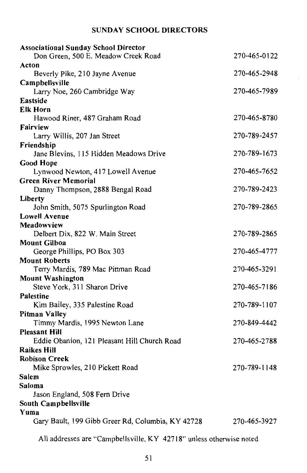## **SUNDAY SCHOOL DIRECTORS**

| <b>Associational Sunday School Director</b>                         |              |
|---------------------------------------------------------------------|--------------|
| Don Green, 500 E. Meadow Creek Road                                 | 270-465-0122 |
| Acton                                                               |              |
| Beverly Pike, 210 Jayne Avenue                                      | 270-465-2948 |
| Campbellsville                                                      |              |
| Larry Noe, 260 Cambridge Way                                        | 270-465-7989 |
| Eastside                                                            |              |
| <b>Elk Horn</b>                                                     |              |
| Hawood Riner, 487 Graham Road                                       | 270-465-8780 |
| <b>Fairview</b>                                                     |              |
| Larry Willis, 207 Jan Street                                        | 270-789-2457 |
| Friendship                                                          |              |
| Jane Blevins, 115 Hidden Meadows Drive                              | 270-789-1673 |
| <b>Good Hope</b>                                                    |              |
| Lynwood Newton, 417 Lowell Avenue                                   | 270-465-7652 |
| <b>Green River Memorial</b>                                         |              |
| Danny Thompson, 2888 Bengal Road                                    | 270-789-2423 |
| Liberty<br>John Smith, 5075 Spurlington Road                        | 270-789-2865 |
| <b>Lowell Avenue</b>                                                |              |
| Meadowview                                                          |              |
| Delbert Dix, 822 W. Main Street                                     | 270-789-2865 |
| <b>Mount Gilboa</b>                                                 |              |
| George Phillips, PO Box 303                                         | 270-465-4777 |
| <b>Mount Roberts</b>                                                |              |
| Terry Mardis, 789 Mac Pittman Road                                  | 270-465-3291 |
| <b>Mount Washington</b>                                             |              |
| Steve York, 311 Sharon Drive                                        | 270-465-7186 |
| Palestine                                                           |              |
| Kim Bailey, 335 Palestine Road                                      | 270-789-1107 |
| <b>Pitman Valley</b>                                                |              |
| Timmy Mardis, 1995 Newton Lane                                      | 270-849-4442 |
| <b>Pleasant Hill</b>                                                |              |
| Eddie Obanion, 121 Pleasant Hill Church Road                        | 270-465-2788 |
| <b>Raikes Hill</b>                                                  |              |
| <b>Robison Creek</b>                                                |              |
| Mike Sprowles, 210 Pickett Road                                     | 270-789-1148 |
| Salem                                                               |              |
| Saloma                                                              |              |
| Jason England, 508 Fern Drive                                       |              |
| South Campbellsville                                                |              |
| Yuma                                                                |              |
| Gary Bault, 199 Gibb Greer Rd, Columbia, KY 42728                   | 270-465-3927 |
| All addresses are "Campbellsville, KY 42718" unless otherwise noted |              |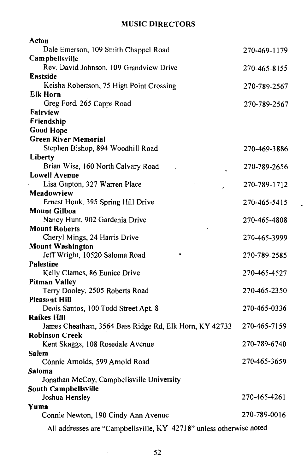## **MUSIC DIRECTORS**

| Acton                                                                        |              |
|------------------------------------------------------------------------------|--------------|
| Dale Emerson, 109 Smith Chappel Road                                         | 270-469-1179 |
| Campbellsville                                                               |              |
| Rev. David Johnson, 109 Grandview Drive                                      | 270-465-8155 |
| Eastside                                                                     |              |
| Keisha Robertson, 75 High Point Crossing                                     | 270-789-2567 |
| Elk Horn                                                                     |              |
| Greg Ford, 265 Capps Road                                                    | 270-789-2567 |
| Fairview                                                                     |              |
| Friendship                                                                   |              |
| <b>Good Hope</b>                                                             |              |
| <b>Green River Memorial</b><br>Stephen Bishop, 894 Woodhill Road             |              |
| Liberty                                                                      | 270-469-3886 |
| Brian Wise, 160 North Calvary Road                                           | 270-789-2656 |
| <b>Lowell Avenue</b>                                                         |              |
| Lisa Gupton, 327 Warren Place                                                | 270-789-1712 |
| Meadowview                                                                   |              |
| Ernest Houk, 395 Spring Hill Drive                                           | 270-465-5415 |
| <b>Mount Gilboa</b>                                                          |              |
| Nancy Hunt, 902 Gardenia Drive                                               | 270-465-4808 |
| <b>Mount Roberts</b>                                                         |              |
| Cheryl Mings, 24 Harris Drive                                                | 270-465-3999 |
| <b>Mount Washington</b>                                                      |              |
| Jeff Wright, 10520 Saloma Road                                               | 270-789-2585 |
| <b>Palestine</b>                                                             |              |
| Kelly Clames, 86 Eunice Drive                                                | 270-465-4527 |
| <b>Pitman Valley</b>                                                         |              |
| Terry Dooley, 2505 Roberts Road                                              | 270-465-2350 |
| Pleasant Hill                                                                |              |
| Denis Santos, 100 Todd Street Apt. 8                                         | 270-465-0336 |
| <b>Raikes Hill</b><br>James Cheatham, 3564 Bass Ridge Rd, Elk Horn, KY 42733 | 270-465-7159 |
| <b>Robinson Creek</b>                                                        |              |
| Kent Skaggs, 108 Rosedale Avenue                                             | 270-789-6740 |
| Salem                                                                        |              |
| Connie Arnolds, 599 Arnold Road                                              | 270-465-3659 |
| <b>Saloma</b>                                                                |              |
| Jonathan McCoy, Campbellsville University                                    |              |
| South Campbellsville                                                         |              |
| Joshua Hensley                                                               | 270-465-4261 |
| Yuma                                                                         |              |
| Connie Newton, 190 Cindy Ann Avenue                                          | 270-789-0016 |
| All addresses are "Campbellsville, $KY$ 42718" unless otherwise noted        |              |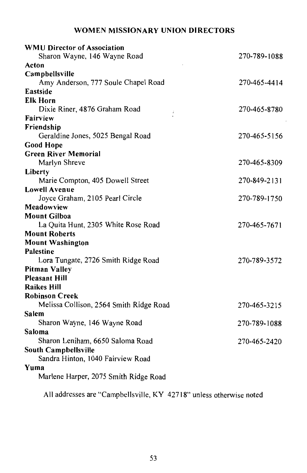## WOMEN MISSIONARY UNION DIRECTORS

| <b>WMU Director of Association</b>      |              |
|-----------------------------------------|--------------|
| Sharon Wayne, 146 Wayne Road            | 270-789-1088 |
| Acton                                   |              |
| Campbellsville                          |              |
| Amy Anderson, 777 Soule Chapel Road     | 270-465-4414 |
| Eastside                                |              |
| <b>Elk Horn</b>                         |              |
| Dixie Riner, 4876 Graham Road<br>ï      | 270-465-8780 |
| Fairview                                |              |
| Friendship                              |              |
| Geraldine Jones, 5025 Bengal Road       | 270-465-5156 |
| <b>Good Hope</b>                        |              |
| <b>Green River Memorial</b>             |              |
| Marlyn Shreve                           | 270-465-8309 |
| Liberty                                 |              |
| Marie Compton, 405 Dowell Street        | 270-849-2131 |
| <b>Lowell Avenue</b>                    |              |
| Joyce Graham, 2105 Pearl Circle         | 270-789-1750 |
| Meadowview                              |              |
| <b>Mount Gilboa</b>                     |              |
| La Quita Hunt, 2305 White Rose Road     | 270-465-7671 |
| <b>Mount Roberts</b>                    |              |
| <b>Mount Washington</b>                 |              |
| <b>Palestine</b>                        |              |
| Lora Tungate, 2726 Smith Ridge Road     | 270-789-3572 |
| <b>Pitman Valley</b>                    |              |
| <b>Pleasant Hill</b>                    |              |
| <b>Raikes Hill</b>                      |              |
| <b>Robinson Creek</b>                   |              |
| Melissa Collison, 2564 Smith Ridge Road | 270-465-3215 |
| Salem                                   |              |
| Sharon Wayne, 146 Wayne Road            | 270-789-1088 |
| Saloma                                  |              |
| Sharon Leniham, 6650 Saloma Road        | 270-465-2420 |
| South Campbellsville                    |              |
| Sandra Hinton, 1040 Fairview Road       |              |
| Yuma                                    |              |
| Marlene Harper, 2075 Smith Ridge Road   |              |
|                                         |              |

All addresses are "Campbellsville, KY 42718" unless otherwise noted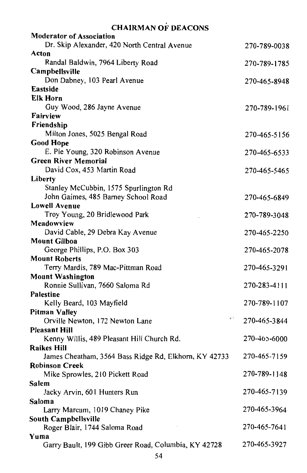## **CHAIRMAN OF DEACONS**

| <b>Moderator of Association</b>                             |              |
|-------------------------------------------------------------|--------------|
| Dr. Skip Alexander, 420 North Central Avenue                | 270-789-0038 |
| Acton                                                       |              |
| Randal Baldwin, 7964 Liberty Road                           | 270-789-1785 |
| Campbellsville                                              |              |
| Don Dabney, 103 Pearl Avenue                                | 270-465-8948 |
| Eastside                                                    |              |
| <b>Elk Horn</b>                                             |              |
| Guy Wood, 286 Jayne Avenue                                  | 270-789-1961 |
| Fairview                                                    |              |
| Friendship                                                  |              |
| Milton Jones, 5025 Bengal Road                              | 270-465-5156 |
| <b>Good Hope</b>                                            |              |
| E. Pie Young, 320 Robinson Avenue                           | 270-465-6533 |
| <b>Green River Memorial</b>                                 |              |
| David Cox, 453 Martin Road                                  | 270-465-5465 |
| Liberty                                                     |              |
| Stanley McCubbin, 1575 Spurlington Rd                       |              |
| John Gaimes, 485 Barney School Road<br><b>Lowell Avenue</b> | 270-465-6849 |
| Troy Young, 20 Bridlewood Park                              |              |
| Meadowview                                                  | 270-789-3048 |
| David Cable, 29 Debra Kay Avenue                            | 270-465-2250 |
| <b>Mount Gilboa</b>                                         |              |
| George Phillips, P.O. Box 303                               | 270-465-2078 |
| <b>Mount Roberts</b>                                        |              |
| Terry Mardis, 789 Mac-Pittman Road                          | 270-465-3291 |
| <b>Mount Washington</b>                                     |              |
| Ronnie Sullivan, 7660 Saloma Rd                             | 270-283-4111 |
| <b>Palestine</b>                                            |              |
| Kelly Beard, 103 Mayfield                                   | 270-789-1107 |
| <b>Pitman Valley</b>                                        |              |
| د ن<br>Orville Newton, 172 Newton Lane                      | 270-465-3844 |
| <b>Pleasant Hill</b>                                        |              |
| Kenny Willis, 489 Pleasant Hill Church Rd.                  | 270-465-6000 |
| <b>Raikes Hill</b>                                          |              |
| James Cheatham, 3564 Bass Ridge Rd, Elkhorn, KY 42733       | 270-465-7159 |
| <b>Robinson Creek</b>                                       |              |
| Mike Sprowles, 210 Pickett Road                             | 270-789-1148 |
| Salem                                                       |              |
| Jacky Arvin, 601 Hunters Run                                | 270-465-7139 |
| Saloma                                                      |              |
| Larry Marcum, 1019 Chaney Pike                              | 270-465-3964 |
| South Campbellsville<br>Roger Blair, 1744 Saloma Road       | 270-465-7641 |
| Yuma                                                        |              |
| Garry Bault, 199 Gibb Greer Road, Columbia, KY 42728        | 270-465-3927 |
|                                                             |              |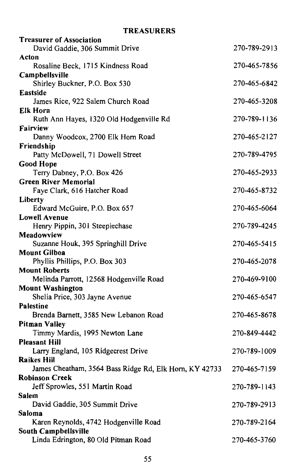## **TREASURERS**

| <b>Treasurer of Association</b>                        |              |
|--------------------------------------------------------|--------------|
| David Gaddie, 306 Summit Drive                         | 270-789-2913 |
| Acton                                                  |              |
| Rosaline Beck, 1715 Kindness Road                      | 270-465-7856 |
| Campbellsville                                         |              |
| Shirley Buckner, P.O. Box 530                          | 270-465-6842 |
| Eastside                                               |              |
| James Rice, 922 Salem Church Road                      | 270-465-3208 |
| <b>Elk Horn</b>                                        |              |
| Ruth Ann Hayes, 1320 Old Hodgenville Rd                | 270-789-1136 |
| Fairview                                               |              |
| Danny Woodcox, 2700 Elk Horn Road                      | 270-465-2127 |
| Friendship                                             |              |
| Patty McDowell, 71 Dowell Street                       | 270-789-4795 |
| <b>Good Hope</b>                                       |              |
| Terry Dabney, P.O. Box 426                             | 270-465-2933 |
| <b>Green River Memorial</b>                            |              |
| Faye Clark, 616 Hatcher Road                           | 270-465-8732 |
| Liberty                                                | 270-465-6064 |
| Edward McGuire, P.O. Box 657<br><b>Lowell Avenue</b>   |              |
| Henry Pippin, 301 Steeplechase                         | 270-789-4245 |
| Meadowview                                             |              |
| Suzanne Houk, 395 Springhill Drive                     | 270-465-5415 |
| <b>Mount Gilboa</b>                                    |              |
| Phyllis Phillips, P.O. Box 303                         | 270-465-2078 |
| <b>Mount Roberts</b>                                   |              |
| Melinda Parrott, 12568 Hodgenville Road                | 270-469-9100 |
| <b>Mount Washington</b>                                |              |
| Shelia Price, 303 Jayne Avenue                         | 270-465-6547 |
| <b>Palestine</b>                                       |              |
| Brenda Barnett, 3585 New Lebanon Road                  | 270-465-8678 |
| <b>Pitman Valley</b>                                   |              |
| Timmy Mardis, 1995 Newton Lane                         | 270-849-4442 |
| <b>Pleasant Hill</b>                                   |              |
| Larry England, 105 Ridgecrest Drive                    | 270-789-1009 |
| <b>Raikes Hill</b>                                     |              |
| James Cheatham, 3564 Bass Ridge Rd, Elk Horn, KY 42733 | 270-465-7159 |
| <b>Robinson Creek</b>                                  |              |
| Jeff Sprowles, 551 Martin Road                         | 270-789-1143 |
| Salem                                                  |              |
| David Gaddie, 305 Summit Drive                         | 270-789-2913 |
| Saloma                                                 |              |
| Karen Reynolds, 4742 Hodgenville Road                  | 270-789-2164 |
| South Campbellsville                                   |              |
| Linda Edrington, 80 Old Pitman Road                    | 270-465-3760 |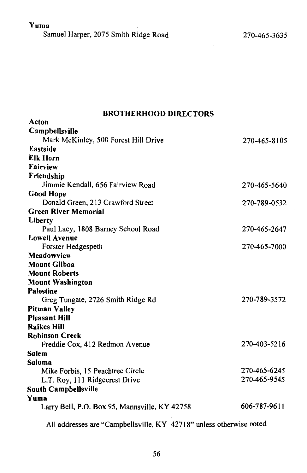## Yuma

Samuel Harper, 2075 Smith Ridge Road

## **BROTHERHOOD DIRECTORS**

| Acton                                         |              |
|-----------------------------------------------|--------------|
| Campbellsville                                |              |
| Mark McKinley, 500 Forest Hill Drive          | 270-465-8105 |
| Eastside                                      |              |
| Elk Horn                                      |              |
| Fairview                                      |              |
| Friendship                                    |              |
| Jimmie Kendall, 656 Fairview Road             | 270-465-5640 |
| <b>Good Hope</b>                              |              |
| Donald Green, 213 Crawford Street             | 270-789-0532 |
| <b>Green River Memorial</b>                   |              |
| Liberty                                       |              |
| Paul Lacy, 1808 Barney School Road            | 270-465-2647 |
| <b>Lowell Avenue</b>                          |              |
| Forster Hedgespeth                            | 270-465-7000 |
| Meadowview                                    |              |
| <b>Mount Gilboa</b>                           |              |
| <b>Mount Roberts</b>                          |              |
| <b>Mount Washington</b>                       |              |
| <b>Palestine</b>                              |              |
| Greg Tungate, 2726 Smith Ridge Rd             | 270-789-3572 |
| <b>Pitman Valley</b>                          |              |
| <b>Pleasant Hill</b>                          |              |
| <b>Raikes Hill</b>                            |              |
| <b>Robinson Creek</b>                         |              |
| Freddie Cox, 412 Redmon Avenue                | 270-403-5216 |
| Salem                                         |              |
| Saloma                                        |              |
| Mike Forbis, 15 Peachtree Circle              | 270-465-6245 |
| L.T. Roy, 111 Ridgecrest Drive                | 270-465-9545 |
| <b>South Campbellsville</b>                   |              |
| Yuma                                          |              |
| Larry Bell, P.O. Box 95, Mannsville, KY 42758 | 606-787-9611 |
|                                               |              |

All addresses are "Campbellsville, KY 42718" unless otherwise noted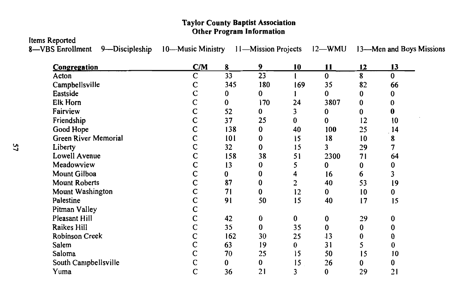#### **Taylor County Baptist Association** Other Program Information

**Items Reported** 

8-VBS Enrollment

9-Discipleship

10—Music Ministry 11—Mission Projects 12—WMU 13—Men and Boys Missions

| Congregation         | C/M            | 8        | 9        | 10  | 11           | 12 | 13       |
|----------------------|----------------|----------|----------|-----|--------------|----|----------|
| Acton                | C              | 33       | 23       |     | $\bf{0}$     | 8  | $\bf{0}$ |
| Campbellsville       | С              | 345      | 180      | 169 | 35           | 82 | 66       |
| Eastside             | $\mathsf{C}$   | 0        | $\bf{0}$ |     | $\bf{0}$     | 0  | 0        |
| Elk Horn             | $\overline{C}$ | $\bf{0}$ | 170      | 24  | 3807         | 0  | 0        |
| Fairview             | $\mathbf C$    | 52       | 0        | 3   | $\bf{0}$     | 0  | 0        |
| Friendship           | C              | 37       | 25       | 0   | 0            | 12 | 10       |
| Good Hope            | C              | 138      | 0        | 40  | 100          | 25 | 14       |
| Green River Memorial | C              | 101      | 0        | 15  | 18           | 10 | 8        |
| Liberty              | C              | 32       | 0        | 15  | 3            | 29 | 7        |
| Lowell Avenue        | C              | 158      | 38       | 51  | 2300         | 71 | 64       |
| Meadowview           | $\mathsf{C}$   | 13       | 0        | 5   | $\mathbf{0}$ | 0  | 0        |
| Mount Gilboa         | C              | 0        | 0        | 4   | 16           | 6  | 3        |
| <b>Mount Roberts</b> | $\mathsf C$    | 87       | 0        | 2   | 40           | 53 | 19       |
| Mount Washington     | $\mathsf{C}$   | 71       | 0        | 12  | $\bf{0}$     | 10 | 0        |
| Palestine            | C              | 91       | 50       | 15  | 40           | 17 | 15       |
| Pitman Valley        | C              |          |          |     |              |    |          |
| Pleasant Hill        | C              | 42       | 0        | 0   | 0            | 29 | 0        |
| Raikes Hill          | $\mathsf{C}$   | 35       | 0        | 35  | 0            | 0  | 0        |
| Robinson Creek       | C              | 162      | 30       | 25  | -13          | 0  |          |
| Salem                | $\overline{C}$ | 63       | 19       | 0   | 31           | 5  |          |
| Saloma               | C              | 70       | 25       | 15  | 50           | 15 | 10       |
| South Campbellsville | C              | 0        | 0        | 15  | 26           | 0  | 0        |
| Yuma                 | $\mathsf{C}$   | 36       | 21       | 3   | $\bf{0}$     | 29 | 21       |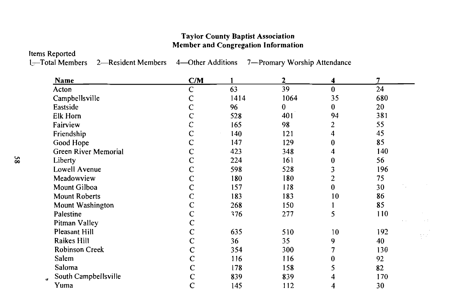## **Taylor County Baptist Association Member and Congregation Information**

**Items Reported** 

1-Total Members

2—Resident Members 4—Other Additions 7—Promary Worship Attendance

 $\sim$ 

| Name                  | C/M          |      | $\mathbf{2}$ | 4        | 7   |                                           |
|-----------------------|--------------|------|--------------|----------|-----|-------------------------------------------|
| Acton                 | C            | 63   | 39           | $\bf{0}$ | 24  |                                           |
| Campbellsville        | C            | 1414 | 1064         | 35       | 680 |                                           |
| Eastside              | C            | 96   | $\bf{0}$     | $\bf{0}$ | 20  |                                           |
| Elk Horn              |              | 528  | 401          | 94       | 381 |                                           |
| Fairview              |              | 165  | 98           | 2        | 55  |                                           |
| Friendship            |              | 140  | 121          | 4        | 45  |                                           |
| Good Hope             | C            | 147  | 129          | 0        | 85  |                                           |
| Green River Memorial  |              | 423  | 348          |          | 140 |                                           |
| Liberty               | $\mathsf{C}$ | 224  | 161          | 0        | 56  |                                           |
| Lowell Avenue         | C            | 598  | 528          | 3        | 196 |                                           |
| Meadowview            | C            | 180  | 180          | 2        | 75  |                                           |
| Mount Gilboa          | C            | 157  | 118          | 0        | 30  |                                           |
| <b>Mount Roberts</b>  |              | 183  | 183          | 10       | 86  |                                           |
| Mount Washington      | C            | 268  | 150          |          | 85  |                                           |
| Palestine             | $\mathsf{C}$ | 376  | 277          | 5        | 110 |                                           |
| Pitman Valley         | C            |      |              |          |     |                                           |
| Pleasant Hill         | C            | 635  | 510          | 10       | 192 | $\langle \frac{1}{2}, \frac{1}{2}\rangle$ |
| Raikes Hill           | C            | 36   | 35           | 9        | 40  |                                           |
| <b>Robinson Creek</b> | $\mathbf C$  | 354  | 300          |          | 130 |                                           |
| Salem                 | $\mathbf C$  | 116  | 116          | 0        | 92  |                                           |
| Saloma                | $\mathsf{C}$ | 178  | 158          | 5        | 82  |                                           |
| South Campbellsville  | $\mathbf C$  | 839  | 839          |          | 170 |                                           |
| Yuma                  | $\mathsf{C}$ | 145  | 112          | 4        | 30  |                                           |
|                       |              |      |              |          |     |                                           |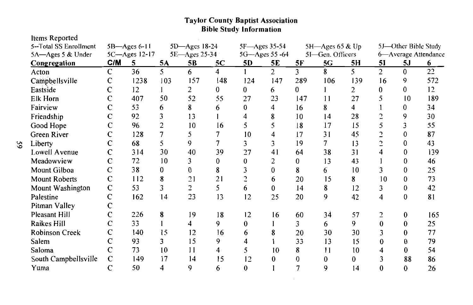# **Taylor County Baptist Association**<br>**Bible Study Information**

| Items Reported         |              |                  |                |                |                |                |                |              |                  |     |                |                      |                      |
|------------------------|--------------|------------------|----------------|----------------|----------------|----------------|----------------|--------------|------------------|-----|----------------|----------------------|----------------------|
| 5--Total SS Enrollment |              | $5B - Ages 6-11$ |                | 5D-Ages 18-24  |                | 5F-Ages 35-54  |                |              | 5H-Ages 65 & Up  |     |                | 5J—Other Bible Study |                      |
| 5A-Ages 5 & Under      |              | 5C-Ages 12-17    |                | 5E-Ages 25-34  |                |                | 5G-Ages 55 -64 |              | 5I-Gen. Officers |     |                |                      | 6-Average Attendance |
| Congregation           | C/M          | 5                | 5A             | 5B             | 5C             | 5D             | 5E             | 5F           | 5G               | 5H  | 51             | 5J                   | 6                    |
| Acton                  | $\mathbf C$  | 36               | 5              | 6              | $\overline{4}$ |                | 2              | 3            | 8                | 5   | $\overline{2}$ | $\Omega$             | 22                   |
| Campbellsville         | C            | 1238             | 103            | 157            | 148            | 124            | 147            | 289          | 106              | 139 | 16             | 9                    | 572                  |
| Eastside               | C            | 12               |                | 2              | 0              | 0              | 6              | $\mathbf{0}$ |                  | 2   | 0              | 0                    | 12                   |
| <b>Elk Horn</b>        | C            | 407              | 50             | 52             | 55             | 27             | 23             | 147          | 11               | 27  | 5              | 10                   | 189                  |
| Fairview               | C            | 53               | 6              | 8              | 6              | $\mathbf{0}$   | 4              | 16           | 8                | 4   |                | 0                    | 34                   |
| Friendship             | $\mathsf{C}$ | 92               | 3              | 13             |                | 4              | 8              | 10           | 14               | 28  | C              | 9                    | 30                   |
| Good Hope              | C            | 96               | $\overline{c}$ | 10             | 16             | 5              | 5              | 8            | 17               | 15  | 5              | 3                    | 55                   |
| Green River            | C            | 128              | 7              | 5              | 7              | 10             |                | 17           | 31               | 45  | C.             | 0                    | 87                   |
| Liberty                | C            | 68               | 5              | 9              | 7              | $\overline{3}$ | 3              | 19           | 7                | 13  | $\mathcal{L}$  | 0                    | 43                   |
| Lowell Avenue          | C            | 314              | 30             | 40             | 39             | 27             | 41             | 64           | 38               | 31  | 4              | 0                    | 139                  |
| Meadowview             | C            | 72               | 10             | 3              | $\Omega$       | $\mathbf{0}$   | 2              | 0            | 13               | 43  |                | 0                    | 46                   |
| Mount Gilboa           | C            | 38               | 0              | 0              | 8              | 3              | 0              | 8            | 6                | 10  | 3              | 0                    | 25                   |
| <b>Mount Roberts</b>   | $\mathbf C$  | 112              | 8              | 21             | 21             | 2              | 6              | 20           | 15               | 8   | 10             | 0                    | 73                   |
| Mount Washington       | $\mathbf C$  | 53               | 3              | $\overline{c}$ | 5              | 6              | $\mathbf{0}$   | 14           | 8                | 12  | 3              | 0                    | 42                   |
| Palestine              | $\mathbf C$  | 162              | 14             | 23             | 13             | 12             | 25             | 20           | 9                | 42  | 4              | 0                    | 81                   |
| Pitman Valley          | C            |                  |                |                |                |                |                |              |                  |     |                |                      |                      |
| Pleasant Hill          | C            | 226              | 8              | 19             | 18             | 12             | 16             | 60           | 34               | 57  | 2              | $\bf{0}$             | 165                  |
| Raikes Hill            | $\mathsf{C}$ | 33               |                | 4              | 9              | $\bf{0}$       |                | 3            | 6                | 9   | 0              | $\bf{0}$             | 25                   |
| <b>Robinson Creek</b>  | C            | 140              | 15             | 12             | 16             | 6              | 8              | 20           | 30               | 30  |                | $\bf{0}$             | 77                   |
| Salem                  | C            | 93               | 3              | 15             | 9              | 4              |                | 33           | 13               | 15  | 0              | $\bf{0}$             | 79                   |
| Saloma                 |              | 73               | 10             | 11             | 4              | 5              | 10             | 8            | 11               | 10  |                | 0                    | 54                   |
| South Campbellsville   | $\mathbf C$  | 149              | 17             | 14             | 15             | 12             | 0              | 0            | $\bf{0}$         | 0   |                | 88                   | 86                   |
| Yuma                   | C            | 50               | 4              | 9              | 6              | 0              |                |              | 9                | 14  | 0              | $\bf{0}$             | 26                   |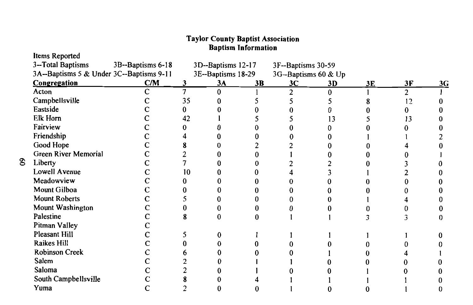# **Taylor County Baptist Association<br>Baptism Information**

Items Reported

| 3-Total Baptisms                         | 3B--Baptisms 6-18 |    | 3D--Baptisms 12-17 |    | 3F--Baptisms 30-59   |    |    |               |    |
|------------------------------------------|-------------------|----|--------------------|----|----------------------|----|----|---------------|----|
| 3A--Baptisms 5 & Under 3C--Baptisms 9-11 |                   |    | 3E--Baptisms 18-29 |    | 3G--Baptisms 60 & Up |    |    |               |    |
| <b>Congregation</b>                      | C/M               | 3  | 3А                 | 3B | 3C                   | 3D | 3E | 3F            | 3G |
| Acton                                    | C                 |    |                    |    | 2                    |    |    | $\mathcal{P}$ |    |
| Campbellsville                           |                   | 35 |                    |    |                      |    |    | 12            |    |
| Eastside                                 |                   |    |                    |    |                      |    |    |               |    |
| Elk Horn                                 |                   | 42 |                    |    |                      | 3  |    | 13            |    |
| Fairview                                 |                   |    |                    |    |                      |    |    |               |    |
| Friendship                               |                   |    |                    |    |                      |    |    |               |    |
| Good Hope                                |                   |    |                    |    |                      |    |    |               |    |
| Green River Memorial                     |                   |    |                    |    |                      |    |    |               |    |
| Liberty                                  |                   |    |                    |    |                      |    |    |               |    |
| Lowell Avenue                            |                   | 10 |                    |    |                      |    |    |               |    |
| Meadowview                               |                   |    |                    |    |                      |    |    |               |    |
| Mount Gilboa                             |                   |    |                    |    |                      |    |    |               |    |
| <b>Mount Roberts</b>                     |                   |    |                    |    |                      |    |    |               |    |
| Mount Washington                         |                   |    |                    |    |                      |    |    |               |    |
| Palestine                                |                   |    |                    |    |                      |    |    |               |    |
| Pitman Valley                            |                   |    |                    |    |                      |    |    |               |    |
| Pleasant Hill                            |                   |    |                    |    |                      |    |    |               |    |
| Raikes Hill                              |                   |    |                    |    |                      |    |    |               |    |
| <b>Robinson Creek</b>                    |                   |    |                    |    |                      |    |    |               |    |
| Salem                                    |                   |    |                    |    |                      |    |    |               |    |
| Saloma                                   |                   |    |                    |    |                      |    |    |               |    |
| South Campbellsville                     |                   |    |                    |    |                      |    |    |               |    |
| Yuma                                     |                   |    |                    |    |                      |    |    |               |    |
|                                          |                   |    |                    |    |                      |    |    |               |    |

 $\mathbf{S}$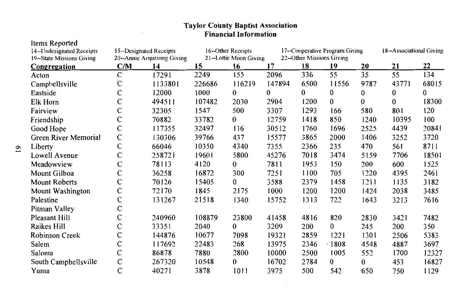| Items Reported            |              |                           |        |                        |        |                           |                                |          |                          |       |
|---------------------------|--------------|---------------------------|--------|------------------------|--------|---------------------------|--------------------------------|----------|--------------------------|-------|
| 14-Undesignated Receipts  |              | 15-Designated Receipts    |        | 16--Other Receipts     |        |                           | 17--Cooperative Program Giving |          | 18--Associational Giving |       |
| 19--State Missions Giving |              | 20-Annie Armstrong Giving |        | 21--Lottie Moon Giving |        | 22--Other Missions Giving |                                |          |                          |       |
| <b>Congregation</b>       | C/M          | 14                        | 15     | 16                     | 17     | 18                        | 19                             | 20       | 21                       | 22    |
| Acton                     | C            | 17291                     | 2249   | 155                    | 2096   | 336                       | 55                             | 35       | 55                       | 134   |
| Camphellsville            | Ċ            | 1133801                   | 226686 | 116219                 | 147894 | 6500                      | 11556                          | 9787     | 43771                    | 68015 |
| Eastside                  | C            | 12000                     | 1000   | $\bf{0}$               | 0      | $\bf{0}$                  | 0                              | 0        | 0                        | 0     |
| Elk Horn                  | C            | 494511                    | 107482 | 2030                   | 2904   | 1200                      | $\mathbf{0}$                   | $\bf{0}$ | $\mathbf{0}$             | 18300 |
| Fairview                  | C            | 32305                     | 1547   | 500                    | 3307   | 1293                      | 166                            | 580      | 801                      | 120   |
| Friendship                | C            | 70882                     | 33782  | $\bf{0}$               | 12759  | 1418                      | 850                            | 1240     | 10395                    | 100   |
| Good Hope                 | C            | 117355                    | 32497  | 116                    | 30512  | 1760                      | 1696                           | 2525     | 4439                     | 20841 |
| Green River Memorial      | $\mathbf C$  | 130306                    | 39766  | 437                    | 15577  | 3865                      | 2000                           | 1406     | 3252                     | 3720  |
| Liberty                   | C            | 66046                     | 10350  | 4340                   | 7355   | 2366                      | 235                            | 470      | 561                      | 8711  |
| Lowell Avenue             | C            | 258721                    | 19601  | 5800                   | 45276  | 7018                      | 3474                           | 5159     | 7706                     | 18501 |
| Meadowview                | C            | 78113                     | 4120   | 0                      | 7811   | 1953                      | 150                            | 200      | 600                      | 1525  |
| Mount Gilboa              | C            | 36258                     | 16872  | 300                    | 7251   | 1100                      | 705                            | 1220     | 4395                     | 2461  |
| Mount Roberts             | C            | 70126                     | 15405  | 0                      | 3588   | 2379                      | 1458                           | 1211     | 1135                     | 3182  |
| Mount Washington          | $\mathsf{C}$ | 72170                     | 1845   | 2175                   | 1000   | 1200                      | 1200                           | 1424     | 2038                     | 3485  |
| Palestine                 | C            | 131267                    | 21518  | 1340                   | 15752  | 1313                      | 722                            | 1643     | 3213                     | 7616  |
| Pitman Valley             | C            |                           |        |                        |        |                           |                                |          |                          |       |
| <b>Pleasant Hill</b>      | $\mathsf{C}$ | 240960                    | 108879 | 23800                  | 41458  | 4816                      | 820                            | 2830     | 3421                     | 7482  |
| Raikes Hill               | C            | 33351                     | 2040   | $\bf{0}$               | 3209   | 200                       | 0                              | 245      | 200                      | 350   |
| <b>Robinson Creek</b>     | C            | 144876                    | 10677  | 7098                   | 19321  | 2859                      | 1221                           | 1301     | 2506                     | 5383  |
| Salem                     | C            | 117692                    | 22483  | 268                    | 13975  | 2346                      | $-1808$                        | 4548     | 4887                     | 3697  |
| Saloma                    | C            | 86878                     | 7880   | 2800                   | 10000  | 2500                      | 1005                           | 552      | 1700                     | 12327 |
| South Campbellsville      | $\mathsf{C}$ | 267320                    | 10548  | $\bf{0}$               | 16702  | 2784                      | $\bf{0}$                       | 0        | 453                      | 16827 |
| Yuma                      | $\mathbf C$  | 40271                     | 3878   | 1011                   | 3975   | 500                       | 542                            | 650      | 750                      | 1129  |

# Taylor County Baptist Association<br>Financial Information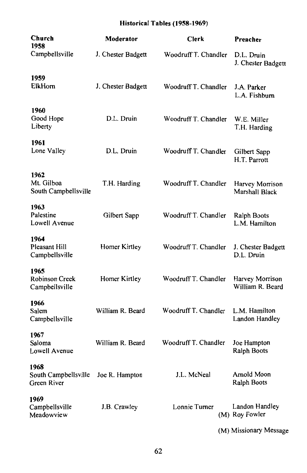## Historical Tables (1958-1969)

| Church<br>1958                              | Moderator          | Clerk                | Preacher                            |
|---------------------------------------------|--------------------|----------------------|-------------------------------------|
| Campbellsville                              | J. Chester Badgett | Woodruff T. Chandler | D.L. Druin<br>J. Chester Badgett    |
| 1959<br>ElkHorn                             | J. Chester Badgett | Woodruff T. Chandler | J.A. Parker<br>L.A. Fishburn        |
| 1960<br>Good Hope<br>Liberty                | D.L. Druin         | Woodruff T. Chandler | W.E. Miller<br>T.H. Harding         |
| 1961<br>Lone Valley                         | D.L. Druin         | Woodruff T. Chandler | Gilbert Sapp<br>H.T. Parrott        |
| 1962<br>Mt. Gilboa<br>South Campbellsville  | T.H. Harding       | Woodruff T. Chandler | Harvey Morrison<br>Marshall Black   |
| 1963<br>Palestine<br>Lowell Avenue          | Gilbert Sapp       | Woodruff T. Chandler | Ralph Boots<br>L.M. Hamilton        |
| 1964<br>Pleasant Hill<br>Campbellsville     | Homer Kirtley      | Woodruff T. Chandler | J. Chester Badgett<br>D.L. Druin    |
| 1965<br>Robinson Creek<br>Campbellsville    | Homer Kirtley      | Woodruff T. Chandler | Harvey Morrison<br>William R. Beard |
| 1966<br>Salem<br>Campbellsville             | William R. Beard   | Woodruff T. Chandler | L.M. Hamilton<br>Landon Handley     |
| 1967<br>Saloma<br>Lowell Avenue             | William R. Beard   | Woodruff T. Chandler | Joe Hampton<br>Ralph Boots          |
| 1968<br>South Campbellsville<br>Green River | Joe R. Hampton     | J.L. McNeal          | Arnold Moon<br><b>Ralph Boots</b>   |
| 1969<br>Campbellsville<br>Meadowview        | J.B. Crawley       | Lonnie Turner        | Landon Handley<br>(M) Roy Fowler    |
|                                             |                    |                      | (M) Missionary Message              |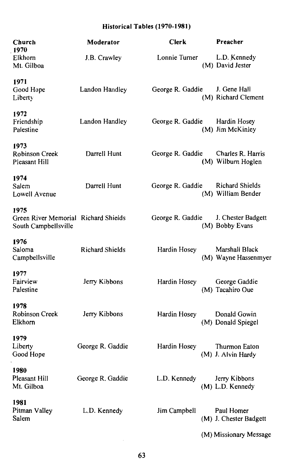#### Historical Tables (1970-1981)

| Church                                                               | Moderator              | Clerk            | Preacher                                     |
|----------------------------------------------------------------------|------------------------|------------------|----------------------------------------------|
| 1970<br>Elkhorn<br>Mt. Gilboa                                        | J.B. Crawley           | Lonnie Turner    | L.D. Kennedy<br>(M) David Jester             |
| 1971<br>Good Hope<br>Liberty                                         | Landon Handley         | George R. Gaddie | J. Gene Hall<br>(M) Richard Clement          |
| 1972<br>Friendship<br>Palestine                                      | Landon Handley         | George R. Gaddie | Hardin Hosey<br>(M) Jim McKinley             |
| 1973<br><b>Robinson Creek</b><br>Pleasant Hill                       | Darrell Hunt           | George R. Gaddie | Charles R. Harris<br>(M) Wilburn Hoglen      |
| 1974<br>Salem<br>Lowell Avenue                                       | Darrell Hunt           | George R. Gaddie | <b>Richard Shields</b><br>(M) William Bender |
| 1975<br>Green River Memorial Richard Shields<br>South Campbellsville |                        | George R. Gaddie | J. Chester Badgett<br>(M) Bobby Evans        |
| 1976<br>Saloma<br>Campbellsville                                     | <b>Richard Shields</b> | Hardin Hosey     | Marshall Black<br>(M) Wayne Hassenmyer       |
| 1977<br>Fairview<br>Palestine                                        | Jerry Kibbons          | Hardin Hosey     | George Gaddie<br>(M) Tacahiro Oue            |
| 1978<br>Robinson Creek<br>Elkhorn                                    | Jerry Kibbons          | Hardin Hosey     | Donald Gowin<br>(M) Donald Spiegel           |
| 1979<br>Liberty<br>Good Hope                                         | George R. Gaddie       | Hardin Hosey     | Thurmon Eaton<br>(M) J. Alvin Hardy          |
| 1980<br>Pleasant Hill<br>Mt. Gilboa                                  | George R. Gaddie       | L.D. Kennedy     | Jerry Kibbons<br>(M) L.D. Kennedy            |
| 1981<br>Pitman Valley<br>Salem                                       | L.D. Kennedy           | Jim Campbell     | Paul Homer<br>(M) J. Chester Badgett         |
|                                                                      |                        |                  | (M) Missionary Message                       |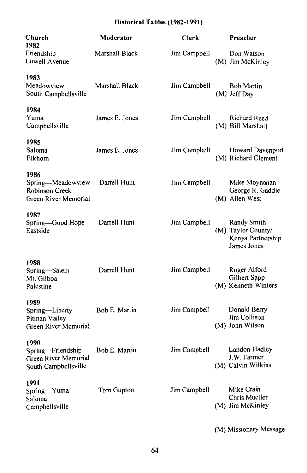## Historical Tables (1982-1991)

| Moderator      | <b>Clerk</b> | Preacher                                                              |
|----------------|--------------|-----------------------------------------------------------------------|
| Marshall Black | Jim Campbell | Don Watson<br>(M) Jim McKinley                                        |
| Marshall Black | Jim Campbell | <b>Bob Martin</b><br>(M) Jeff Day                                     |
| James E. Jones | Jim Campbell | Richard Reed<br>(M) Bill Marshall                                     |
| James E. Jones | Jim Campbell | Howard Davenport<br>(M) Richard Clement                               |
| Darrell Hunt   | Jim Campbell | Mike Moynahan<br>George R. Gaddie<br>(M) Allen West                   |
| Darrell Hunt   | Jim Campbell | Randy Smith<br>(M) Taylor County/<br>Kenya Partnership<br>James Jones |
| Darrell Hunt   | Jim Campbell | Roger Alford<br>Gilbert Sapp<br>(M) Kenneth Winters                   |
| Bob E. Martin  | Jim Campbell | Donald Berry<br>Jim Collison<br>(M) John Wilson                       |
| Bob E. Martin  | Jim Campbell | Landon Hadley<br>J.W. Farmer<br>(M) Calvin Wilkins                    |
| Tom Gupton     | Jim Campbell | Mike Crain<br>Chris Mueller<br>(M) Jim McKinley                       |
|                |              |                                                                       |

(M) Missionary Message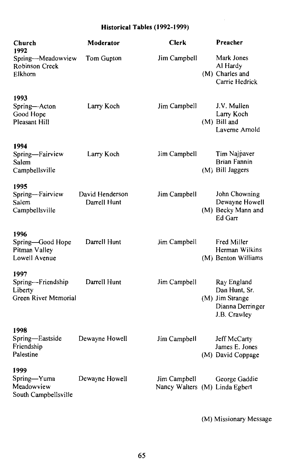## Historical Tables (1992-1999)

| Church<br>1992                                               | Moderator                       | <b>Clerk</b>                                   | Preacher                                                                            |
|--------------------------------------------------------------|---------------------------------|------------------------------------------------|-------------------------------------------------------------------------------------|
| Spring--Meadowview<br><b>Robinson Creek</b><br>Elkhorn       | Tom Gupton                      | Jim Campbell                                   | Mark Jones<br>Al Hardy<br>(M) Charles and<br>Carrie Hedrick                         |
| 1993<br>Spring-Acton<br>Good Hope<br>Pleasant Hill           | Larry Koch                      | Jim Campbell                                   | J.V. Mullen<br>Larry Koch<br>(M) Bill and<br>Laverne Arnold                         |
| 1994<br>Spring-Fairview<br>Salem<br>Campbellsville           | Larry Koch                      | Jim Campbell                                   | Tim Najpaver<br><b>Brian Fannin</b><br>(M) Bill Jaggers                             |
| 1995<br>Spring-Fairview<br>Salem<br>Campbellsville           | David Henderson<br>Darrell Hunt | Jim Campbell                                   | John Chowning<br>Dewayne Howell<br>(M) Becky Mann and<br>Ed Garr                    |
| 1996<br>Spring-Good Hope<br>Pitman Valley<br>Lowell Avenue   | Darrell Hunt                    | Jim Campbell                                   | Fred Miller<br>Herman Wilkins<br>(M) Benton Williams                                |
| 1997<br>Spring-Friendship<br>Liberty<br>Green River Memorial | Darrell Hunt                    | Jim Campbell                                   | Ray England<br>Dan Hunt, Sr.<br>(M) Jim Strange<br>Dianna Derringer<br>J.B. Crawley |
| 1998<br>Spring-Eastside<br>Friendship<br>Palestine           | Dewayne Howell                  | Jim Campbell                                   | Jeff McCarty<br>James E. Jones<br>(M) David Coppage                                 |
| 1999<br>Spring-Yuma<br>Meadowview<br>South Campbellsville    | Dewayne Howell                  | Jim Campbell<br>Nancy Walters (M) Linda Egbert | George Gaddie                                                                       |

(M) Missionary Message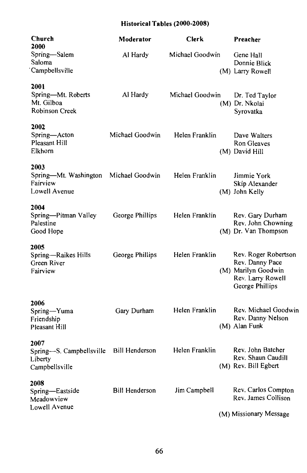## Historical Tables (2000-2008)

| Church<br>2000                                                    | Moderator             | <b>Clerk</b>    | Preacher                                                                                               |
|-------------------------------------------------------------------|-----------------------|-----------------|--------------------------------------------------------------------------------------------------------|
| Spring-Salem<br>Saloma<br>Campbellsville                          | Al Hardy              | Michael Goodwin | Gene Hall<br>Donnie Blick<br>(M) Larry Rowell                                                          |
| 2001<br>Spring-Mt. Roberts<br>Mt. Gilboa<br><b>Robinson Creek</b> | Al Hardy              | Michael Goodwin | Dr. Ted Taylor<br>(M) Dr. Nkolai<br>Syrovatka                                                          |
| 2002<br>Spring-Acton<br>Pleasant Hill<br>Elkhorn                  | Michael Goodwin       | Helen Franklin  | Dave Walters<br>Ron Gleaves<br>(M) David Hill                                                          |
| 2003<br>Spring-Mt. Washington<br>Fairview<br>Lowell Avenue        | Michael Goodwin       | Helen Franklin  | Jimmie York<br>Skip Alexander<br>(M) John Kelly                                                        |
| 2004<br>Spring-Pitman Valley<br>Palestine<br>Good Hope            | George Phillips       | Helen Franklin  | Rev. Gary Durham<br>Rev. John Chowning<br>(M) Dr. Van Thompson                                         |
| 2005<br>Spring-Raikes Hills<br>Green River<br>Fairview            | George Phillips       | Helen Franklin  | Rev. Roger Robertson<br>Rev. Danny Pace<br>(M) Marilyn Goodwin<br>Rev. Larry Rowell<br>George Phillips |
| 2006<br>Spring-Yuma<br>Friendship<br><b>Pleasant Hill</b>         | Gary Durham           | Helen Franklin  | Rev. Michael Goodwir<br>Rev. Danny Nelson<br>(M) Alan Funk                                             |
| 2007<br>Spring-S. Campbellsville<br>Liberty<br>Campbellsville     | <b>Bill Henderson</b> | Helen Franklin  | Rev. John Batcher<br>Rev. Shaun Caudill<br>(M) Rev. Bill Egbert                                        |
| 2008<br>Spring-Eastside<br>Meadowview<br>Lowell Avenue            | <b>Bill Henderson</b> | Jim Campbell    | Rev. Carlos Compton<br>Rev. James Collison                                                             |
|                                                                   |                       |                 | (M) Missionary Message                                                                                 |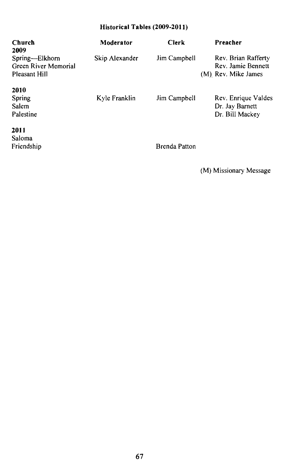### Historical Tables (2009-2011)

| Church<br>2009                                          | Moderator      | <b>Clerk</b>  | Preacher                                                         |
|---------------------------------------------------------|----------------|---------------|------------------------------------------------------------------|
| Spring-Elkhorn<br>Green River Memorial<br>Pleasant Hill | Skip Alexander | Jim Campbell  | Rev. Brian Rafferty<br>Rev. Jamie Bennett<br>(M) Rev. Mike James |
| 2010                                                    |                |               |                                                                  |
| Spring                                                  | Kyle Franklin  | Jim Campbell  | Rev. Enrique Valdes                                              |
| Salem                                                   |                |               | Dr. Jay Barnett                                                  |
| Palestine                                               |                |               | Dr. Bill Mackey                                                  |
| 2011                                                    |                |               |                                                                  |
| Saloma                                                  |                |               |                                                                  |
| Friendship                                              |                | Brenda Patton |                                                                  |

(M) Missionary Message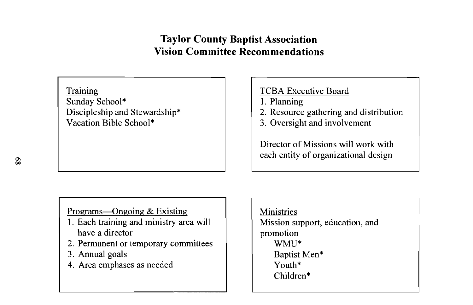## **Taylor County Baptist Association Vision Committee Recommendations**

Training Sunday School\* Discipleship and Stewardship\* Vacation Bible School\*

## **TCBA Executive Board**

- 1. Planning
- 2. Resource gathering and distribution
- 3. Oversight and involvement

Director of Missions will work with each entity of organizational design

Programs—Ongoing & Existing

- 1. Each training and ministry area will have a director
- 2. Permanent or temporary committees
- 3. Annual goals
- 4. Area emphases as needed

**Ministries** Mission support, education, and promotion WMU\* Baptist Men\* Youth\* Children\*